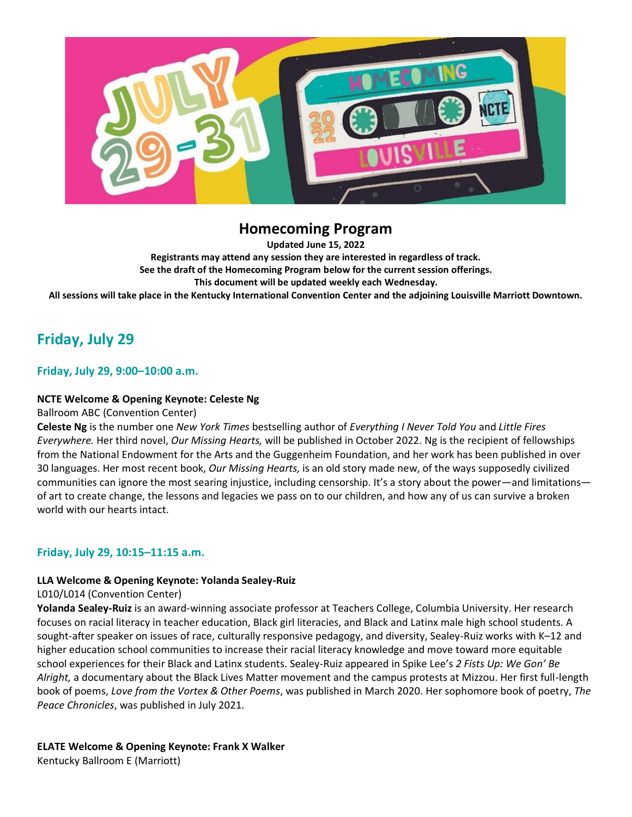

# **Homecoming Program**

**Updated June 15, 2022 Registrants may attend any session they are interested in regardless of track. See the draft of the Homecoming Program below for the current session offerings. This document will be updated weekly each Wednesday. All sessions will take place in the Kentucky International Convention Center and the adjoining Louisville Marriott Downtown.**

# **Friday, July 29**

## **Friday, July 29, 9:00–10:00 a.m.**

## **NCTE Welcome & Opening Keynote: Celeste Ng**

Ballroom ABC (Convention Center)

**Celeste Ng** is the number one *New York Times* bestselling author of *Everything I Never Told You* and *Little Fires Everywhere.* Her third novel, *Our Missing Hearts,* will be published in October 2022. Ng is the recipient of fellowships from the National Endowment for the Arts and the Guggenheim Foundation, and her work has been published in over 30 languages. Her most recent book, *Our Missing Hearts,* is an old story made new, of the ways supposedly civilized communities can ignore the most searing injustice, including censorship. It's a story about the power—and limitations of art to create change, the lessons and legacies we pass on to our children, and how any of us can survive a broken world with our hearts intact.

## **Friday, July 29, 10:15–11:15 a.m.**

### **LLA Welcome & Opening Keynote: Yolanda Sealey-Ruiz**

### L010/L014 (Convention Center)

**Yolanda Sealey-Ruiz** is an award-winning associate professor at Teachers College, Columbia University. Her research focuses on racial literacy in teacher education, Black girl literacies, and Black and Latinx male high school students. A sought-after speaker on issues of race, culturally responsive pedagogy, and diversity, Sealey-Ruiz works with K–12 and higher education school communities to increase their racial literacy knowledge and move toward more equitable school experiences for their Black and Latinx students. Sealey-Ruiz appeared in Spike Lee's *2 Fists Up: We Gon' Be Alright,* a documentary about the Black Lives Matter movement and the campus protests at Mizzou. Her first full-length book of poems, *Love from the Vortex & Other Poems*, was published in March 2020. Her sophomore book of poetry, *The Peace Chronicles*, was published in July 2021.

**ELATE Welcome & Opening Keynote: Frank X Walker**

Kentucky Ballroom E (Marriott)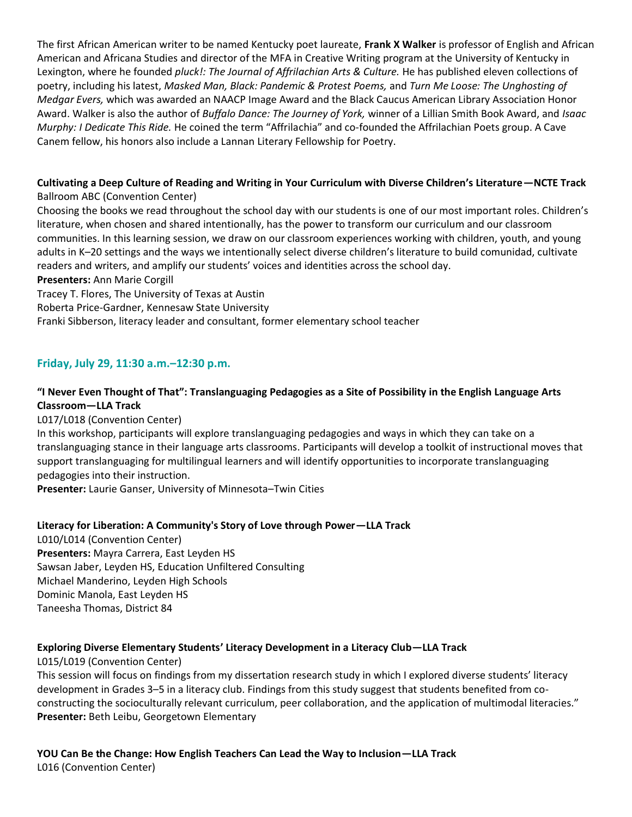The first African American writer to be named Kentucky poet laureate, **Frank X Walker** is professor of English and African American and Africana Studies and director of the MFA in Creative Writing program at the University of Kentucky in Lexington, where he founded *pluck!: The Journal of Affrilachian Arts & Culture.* He has published eleven collections of poetry, including his latest, *Masked Man, Black: Pandemic & Protest Poems,* and *Turn Me Loose: The Unghosting of Medgar Evers,* which was awarded an NAACP Image Award and the Black Caucus American Library Association Honor Award. Walker is also the author of *Buffalo Dance: The Journey of York,* winner of a Lillian Smith Book Award, and *Isaac Murphy: I Dedicate This Ride.* He coined the term "Affrilachia" and co-founded the Affrilachian Poets group. A Cave Canem fellow, his honors also include a Lannan Literary Fellowship for Poetry.

# **Cultivating a Deep Culture of Reading and Writing in Your Curriculum with Diverse Children's Literature—NCTE Track**

## Ballroom ABC (Convention Center)

Choosing the books we read throughout the school day with our students is one of our most important roles. Children's literature, when chosen and shared intentionally, has the power to transform our curriculum and our classroom communities. In this learning session, we draw on our classroom experiences working with children, youth, and young adults in K–20 settings and the ways we intentionally select diverse children's literature to build comunidad, cultivate readers and writers, and amplify our students' voices and identities across the school day.

**Presenters:** Ann Marie Corgill

Tracey T. Flores, The University of Texas at Austin

Roberta Price-Gardner, Kennesaw State University

Franki Sibberson, literacy leader and consultant, former elementary school teacher

## **Friday, July 29, 11:30 a.m.–12:30 p.m.**

## **"I Never Even Thought of That": Translanguaging Pedagogies as a Site of Possibility in the English Language Arts Classroom—LLA Track**

L017/L018 (Convention Center)

In this workshop, participants will explore translanguaging pedagogies and ways in which they can take on a translanguaging stance in their language arts classrooms. Participants will develop a toolkit of instructional moves that support translanguaging for multilingual learners and will identify opportunities to incorporate translanguaging pedagogies into their instruction.

**Presenter:** Laurie Ganser, University of Minnesota–Twin Cities

## **Literacy for Liberation: A Community's Story of Love through Power—LLA Track**

L010/L014 (Convention Center) **Presenters:** Mayra Carrera, East Leyden HS Sawsan Jaber, Leyden HS, Education Unfiltered Consulting Michael Manderino, Leyden High Schools Dominic Manola, East Leyden HS Taneesha Thomas, District 84

## **Exploring Diverse Elementary Students' Literacy Development in a Literacy Club—LLA Track**

L015/L019 (Convention Center) This session will focus on findings from my dissertation research study in which I explored diverse students' literacy development in Grades 3–5 in a literacy club. Findings from this study suggest that students benefited from coconstructing the socioculturally relevant curriculum, peer collaboration, and the application of multimodal literacies." **Presenter:** Beth Leibu, Georgetown Elementary

**YOU Can Be the Change: How English Teachers Can Lead the Way to Inclusion—LLA Track** L016 (Convention Center)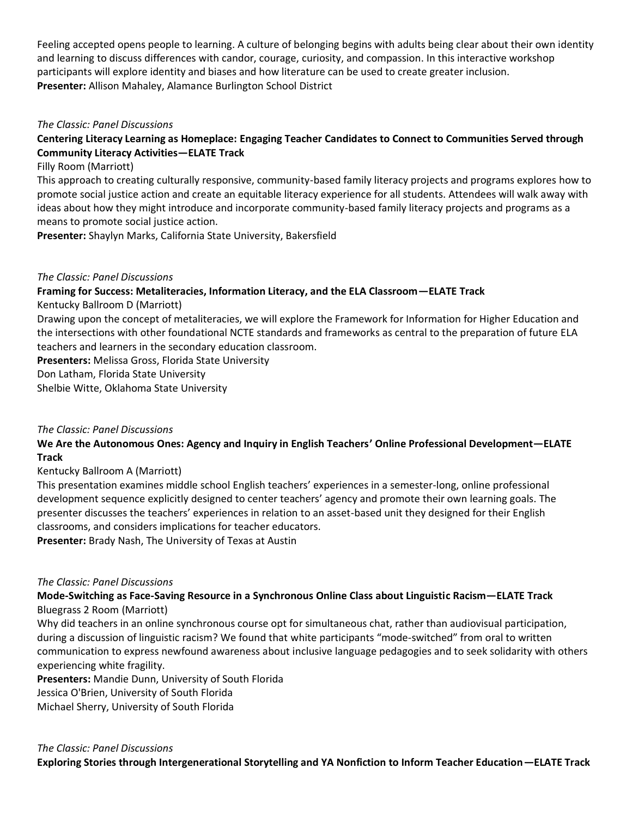Feeling accepted opens people to learning. A culture of belonging begins with adults being clear about their own identity and learning to discuss differences with candor, courage, curiosity, and compassion. In this interactive workshop participants will explore identity and biases and how literature can be used to create greater inclusion. **Presenter:** Allison Mahaley, Alamance Burlington School District

## *The Classic: Panel Discussions*

## **Centering Literacy Learning as Homeplace: Engaging Teacher Candidates to Connect to Communities Served through Community Literacy Activities—ELATE Track**

### Filly Room (Marriott)

This approach to creating culturally responsive, community-based family literacy projects and programs explores how to promote social justice action and create an equitable literacy experience for all students. Attendees will walk away with ideas about how they might introduce and incorporate community-based family literacy projects and programs as a means to promote social justice action.

**Presenter:** Shaylyn Marks, California State University, Bakersfield

## *The Classic: Panel Discussions*

## **Framing for Success: Metaliteracies, Information Literacy, and the ELA Classroom—ELATE Track**

Kentucky Ballroom D (Marriott)

Drawing upon the concept of metaliteracies, we will explore the Framework for Information for Higher Education and the intersections with other foundational NCTE standards and frameworks as central to the preparation of future ELA teachers and learners in the secondary education classroom.

**Presenters:** Melissa Gross, Florida State University

Don Latham, Florida State University

Shelbie Witte, Oklahoma State University

### *The Classic: Panel Discussions*

## **We Are the Autonomous Ones: Agency and Inquiry in English Teachers' Online Professional Development—ELATE Track**

## Kentucky Ballroom A (Marriott)

This presentation examines middle school English teachers' experiences in a semester-long, online professional development sequence explicitly designed to center teachers' agency and promote their own learning goals. The presenter discusses the teachers' experiences in relation to an asset-based unit they designed for their English classrooms, and considers implications for teacher educators.

**Presenter:** Brady Nash, The University of Texas at Austin

### *The Classic: Panel Discussions*

## **Mode-Switching as Face-Saving Resource in a Synchronous Online Class about Linguistic Racism—ELATE Track** Bluegrass 2 Room (Marriott)

Why did teachers in an online synchronous course opt for simultaneous chat, rather than audiovisual participation, during a discussion of linguistic racism? We found that white participants "mode-switched" from oral to written communication to express newfound awareness about inclusive language pedagogies and to seek solidarity with others experiencing white fragility.

**Presenters:** Mandie Dunn, University of South Florida Jessica O'Brien, University of South Florida Michael Sherry, University of South Florida

*The Classic: Panel Discussions*  **Exploring Stories through Intergenerational Storytelling and YA Nonfiction to Inform Teacher Education—ELATE Track**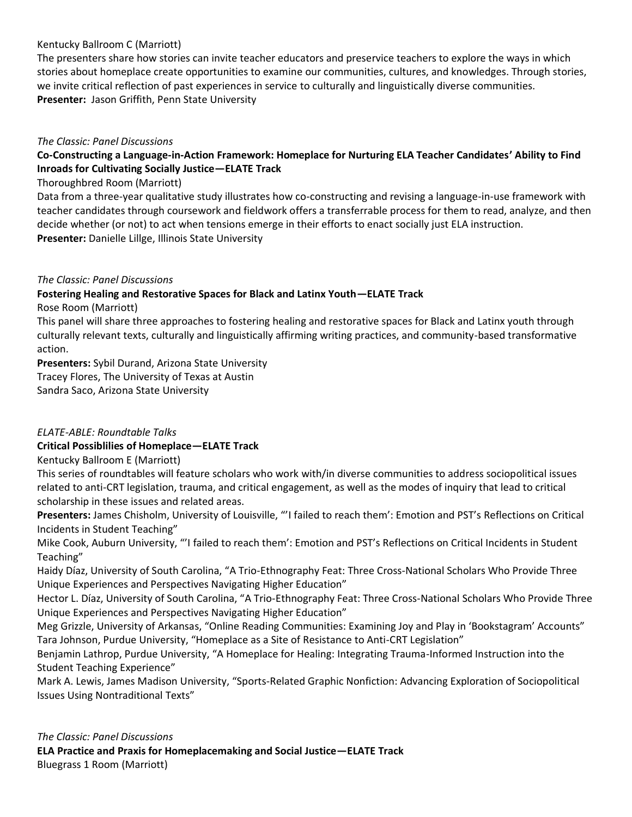## Kentucky Ballroom C (Marriott)

The presenters share how stories can invite teacher educators and preservice teachers to explore the ways in which stories about homeplace create opportunities to examine our communities, cultures, and knowledges. Through stories, we invite critical reflection of past experiences in service to culturally and linguistically diverse communities. **Presenter:** Jason Griffith, Penn State University

### *The Classic: Panel Discussions*

## **Co-Constructing a Language-in-Action Framework: Homeplace for Nurturing ELA Teacher Candidates' Ability to Find Inroads for Cultivating Socially Justice—ELATE Track**

### Thoroughbred Room (Marriott)

Data from a three-year qualitative study illustrates how co-constructing and revising a language-in-use framework with teacher candidates through coursework and fieldwork offers a transferrable process for them to read, analyze, and then decide whether (or not) to act when tensions emerge in their efforts to enact socially just ELA instruction. **Presenter:** Danielle Lillge, Illinois State University

### *The Classic: Panel Discussions*

## **Fostering Healing and Restorative Spaces for Black and Latinx Youth—ELATE Track**

Rose Room (Marriott)

This panel will share three approaches to fostering healing and restorative spaces for Black and Latinx youth through culturally relevant texts, culturally and linguistically affirming writing practices, and community-based transformative action.

**Presenters:** Sybil Durand, Arizona State University

Tracey Flores, The University of Texas at Austin

Sandra Saco, Arizona State University

## *ELATE-ABLE: Roundtable Talks*

## **Critical Possiblilies of Homeplace—ELATE Track**

Kentucky Ballroom E (Marriott)

This series of roundtables will feature scholars who work with/in diverse communities to address sociopolitical issues related to anti-CRT legislation, trauma, and critical engagement, as well as the modes of inquiry that lead to critical scholarship in these issues and related areas.

**Presenters:** James Chisholm, University of Louisville, "'I failed to reach them': Emotion and PST's Reflections on Critical Incidents in Student Teaching"

Mike Cook, Auburn University, "'I failed to reach them': Emotion and PST's Reflections on Critical Incidents in Student Teaching"

Haidy Díaz, University of South Carolina, "A Trio-Ethnography Feat: Three Cross-National Scholars Who Provide Three Unique Experiences and Perspectives Navigating Higher Education"

Hector L. Díaz, University of South Carolina, "A Trio-Ethnography Feat: Three Cross-National Scholars Who Provide Three Unique Experiences and Perspectives Navigating Higher Education"

Meg Grizzle, University of Arkansas, "Online Reading Communities: Examining Joy and Play in 'Bookstagram' Accounts" Tara Johnson, Purdue University, "Homeplace as a Site of Resistance to Anti-CRT Legislation"

Benjamin Lathrop, Purdue University, "A Homeplace for Healing: Integrating Trauma-Informed Instruction into the Student Teaching Experience"

Mark A. Lewis, James Madison University, "Sports-Related Graphic Nonfiction: Advancing Exploration of Sociopolitical Issues Using Nontraditional Texts"

*The Classic: Panel Discussions* **ELA Practice and Praxis for Homeplacemaking and Social Justice—ELATE Track** Bluegrass 1 Room (Marriott)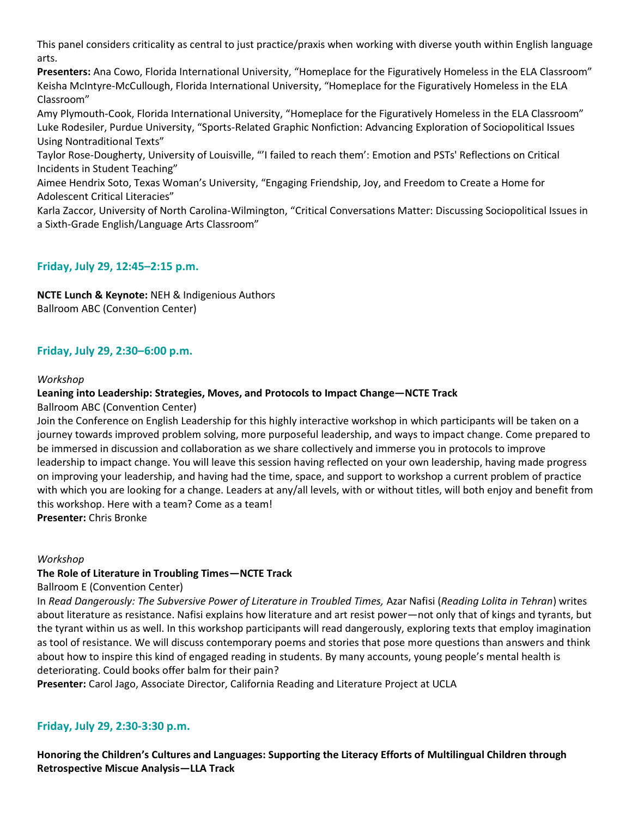This panel considers criticality as central to just practice/praxis when working with diverse youth within English language arts.

**Presenters:** Ana Cowo, Florida International University, "Homeplace for the Figuratively Homeless in the ELA Classroom" Keisha McIntyre-McCullough, Florida International University, "Homeplace for the Figuratively Homeless in the ELA Classroom"

Amy Plymouth-Cook, Florida International University, "Homeplace for the Figuratively Homeless in the ELA Classroom" Luke Rodesiler, Purdue University, "Sports-Related Graphic Nonfiction: Advancing Exploration of Sociopolitical Issues Using Nontraditional Texts"

Taylor Rose-Dougherty, University of Louisville, "'I failed to reach them': Emotion and PSTs' Reflections on Critical Incidents in Student Teaching"

Aimee Hendrix Soto, Texas Woman's University, "Engaging Friendship, Joy, and Freedom to Create a Home for Adolescent Critical Literacies"

Karla Zaccor, University of North Carolina-Wilmington, "Critical Conversations Matter: Discussing Sociopolitical Issues in a Sixth-Grade English/Language Arts Classroom"

## **Friday, July 29, 12:45–2:15 p.m.**

**NCTE Lunch & Keynote:** NEH & Indigenious Authors Ballroom ABC (Convention Center)

## **Friday, July 29, 2:30–6:00 p.m.**

### *Workshop*

## **Leaning into Leadership: Strategies, Moves, and Protocols to Impact Change—NCTE Track**

Ballroom ABC (Convention Center)

Join the Conference on English Leadership for this highly interactive workshop in which participants will be taken on a journey towards improved problem solving, more purposeful leadership, and ways to impact change. Come prepared to be immersed in discussion and collaboration as we share collectively and immerse you in protocols to improve leadership to impact change. You will leave this session having reflected on your own leadership, having made progress on improving your leadership, and having had the time, space, and support to workshop a current problem of practice with which you are looking for a change. Leaders at any/all levels, with or without titles, will both enjoy and benefit from this workshop. Here with a team? Come as a team!

**Presenter:** Chris Bronke

### *Workshop*

### **The Role of Literature in Troubling Times—NCTE Track**

Ballroom E (Convention Center)

In *Read Dangerously: The Subversive Power of Literature in Troubled Times,* Azar Nafisi (*Reading Lolita in Tehran*) writes about literature as resistance. Nafisi explains how literature and art resist power—not only that of kings and tyrants, but the tyrant within us as well. In this workshop participants will read dangerously, exploring texts that employ imagination as tool of resistance. We will discuss contemporary poems and stories that pose more questions than answers and think about how to inspire this kind of engaged reading in students. By many accounts, young people's mental health is deteriorating. Could books offer balm for their pain?

**Presenter:** Carol Jago, Associate Director, California Reading and Literature Project at UCLA

## **Friday, July 29, 2:30-3:30 p.m.**

**Honoring the Children's Cultures and Languages: Supporting the Literacy Efforts of Multilingual Children through Retrospective Miscue Analysis—LLA Track**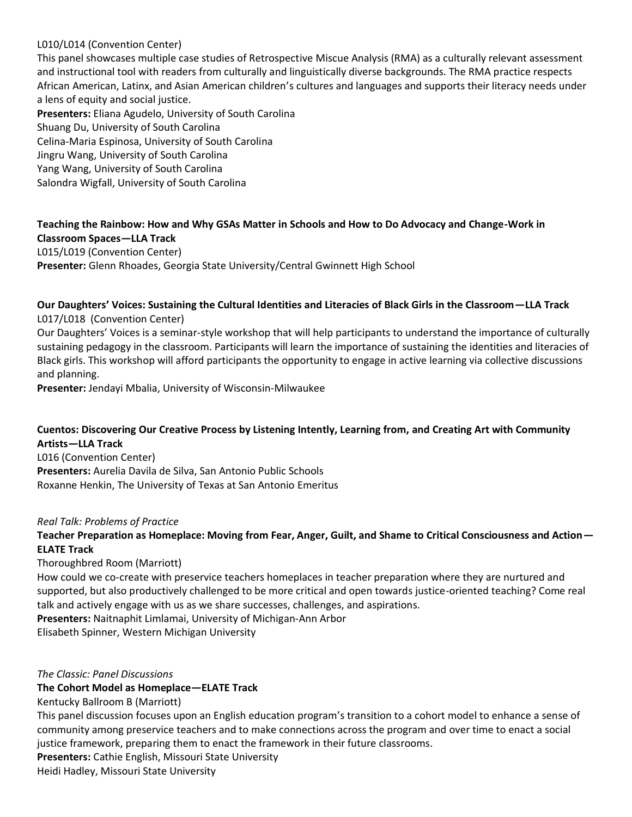## L010/L014 (Convention Center)

This panel showcases multiple case studies of Retrospective Miscue Analysis (RMA) as a culturally relevant assessment and instructional tool with readers from culturally and linguistically diverse backgrounds. The RMA practice respects African American, Latinx, and Asian American children's cultures and languages and supports their literacy needs under a lens of equity and social justice. **Presenters:** Eliana Agudelo, University of South Carolina Shuang Du, University of South Carolina Celina-Maria Espinosa, University of South Carolina

Jingru Wang, University of South Carolina

Yang Wang, University of South Carolina

Salondra Wigfall, University of South Carolina

## **Teaching the Rainbow: How and Why GSAs Matter in Schools and How to Do Advocacy and Change-Work in Classroom Spaces—LLA Track** L015/L019 (Convention Center)

**Presenter:** Glenn Rhoades, Georgia State University/Central Gwinnett High School

### **Our Daughters' Voices: Sustaining the Cultural Identities and Literacies of Black Girls in the Classroom—LLA Track** L017/L018 (Convention Center)

Our Daughters' Voices is a seminar-style workshop that will help participants to understand the importance of culturally sustaining pedagogy in the classroom. Participants will learn the importance of sustaining the identities and literacies of Black girls. This workshop will afford participants the opportunity to engage in active learning via collective discussions and planning.

**Presenter:** Jendayi Mbalia, University of Wisconsin-Milwaukee

## **Cuentos: Discovering Our Creative Process by Listening Intently, Learning from, and Creating Art with Community Artists—LLA Track**

L016 (Convention Center) **Presenters:** Aurelia Davila de Silva, San Antonio Public Schools Roxanne Henkin, The University of Texas at San Antonio Emeritus

### *Real Talk: Problems of Practice*

## **Teacher Preparation as Homeplace: Moving from Fear, Anger, Guilt, and Shame to Critical Consciousness and Action— ELATE Track**

Thoroughbred Room (Marriott)

How could we co-create with preservice teachers homeplaces in teacher preparation where they are nurtured and supported, but also productively challenged to be more critical and open towards justice-oriented teaching? Come real talk and actively engage with us as we share successes, challenges, and aspirations.

**Presenters:** Naitnaphit Limlamai, University of Michigan-Ann Arbor

Elisabeth Spinner, Western Michigan University

### *The Classic: Panel Discussions*

### **The Cohort Model as Homeplace—ELATE Track**

Kentucky Ballroom B (Marriott)

This panel discussion focuses upon an English education program's transition to a cohort model to enhance a sense of community among preservice teachers and to make connections across the program and over time to enact a social justice framework, preparing them to enact the framework in their future classrooms.

**Presenters:** Cathie English, Missouri State University

Heidi Hadley, Missouri State University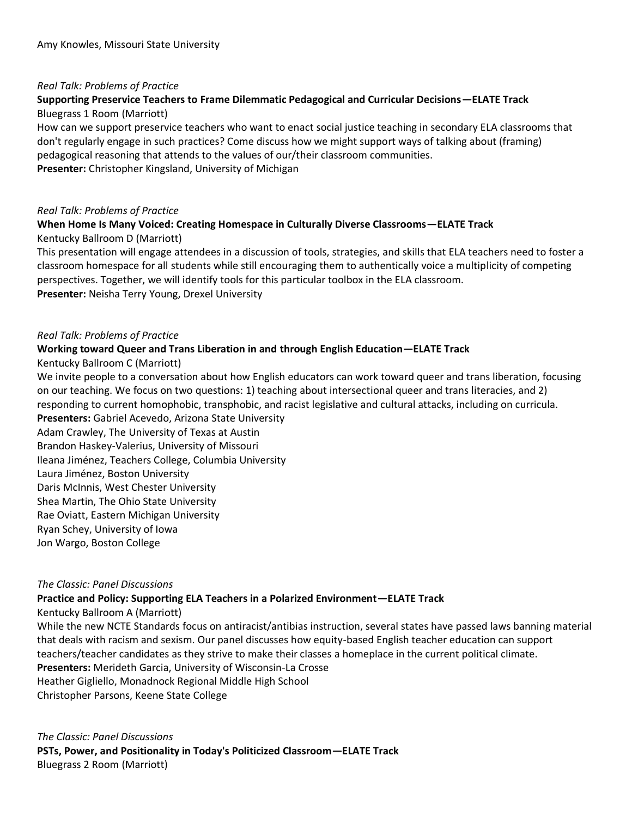### *Real Talk: Problems of Practice*

## **Supporting Preservice Teachers to Frame Dilemmatic Pedagogical and Curricular Decisions—ELATE Track** Bluegrass 1 Room (Marriott)

How can we support preservice teachers who want to enact social justice teaching in secondary ELA classrooms that don't regularly engage in such practices? Come discuss how we might support ways of talking about (framing) pedagogical reasoning that attends to the values of our/their classroom communities. **Presenter:** Christopher Kingsland, University of Michigan

### *Real Talk: Problems of Practice*

### **When Home Is Many Voiced: Creating Homespace in Culturally Diverse Classrooms—ELATE Track** Kentucky Ballroom D (Marriott)

This presentation will engage attendees in a discussion of tools, strategies, and skills that ELA teachers need to foster a classroom homespace for all students while still encouraging them to authentically voice a multiplicity of competing perspectives. Together, we will identify tools for this particular toolbox in the ELA classroom. **Presenter:** Neisha Terry Young, Drexel University

### *Real Talk: Problems of Practice*

### **Working toward Queer and Trans Liberation in and through English Education—ELATE Track**

Kentucky Ballroom C (Marriott)

We invite people to a conversation about how English educators can work toward queer and trans liberation, focusing on our teaching. We focus on two questions: 1) teaching about intersectional queer and trans literacies, and 2) responding to current homophobic, transphobic, and racist legislative and cultural attacks, including on curricula. **Presenters:** Gabriel Acevedo, Arizona State University

Adam Crawley, The University of Texas at Austin Brandon Haskey-Valerius, University of Missouri Ileana Jiménez, Teachers College, Columbia University Laura Jiménez, Boston University Daris McInnis, West Chester University Shea Martin, The Ohio State University Rae Oviatt, Eastern Michigan University Ryan Schey, University of Iowa Jon Wargo, Boston College

### *The Classic: Panel Discussions*

### **Practice and Policy: Supporting ELA Teachers in a Polarized Environment—ELATE Track**

Kentucky Ballroom A (Marriott)

While the new NCTE Standards focus on antiracist/antibias instruction, several states have passed laws banning material that deals with racism and sexism. Our panel discusses how equity-based English teacher education can support teachers/teacher candidates as they strive to make their classes a homeplace in the current political climate. **Presenters:** Merideth Garcia, University of Wisconsin-La Crosse Heather Gigliello, Monadnock Regional Middle High School Christopher Parsons, Keene State College

*The Classic: Panel Discussions* **PSTs, Power, and Positionality in Today's Politicized Classroom—ELATE Track** Bluegrass 2 Room (Marriott)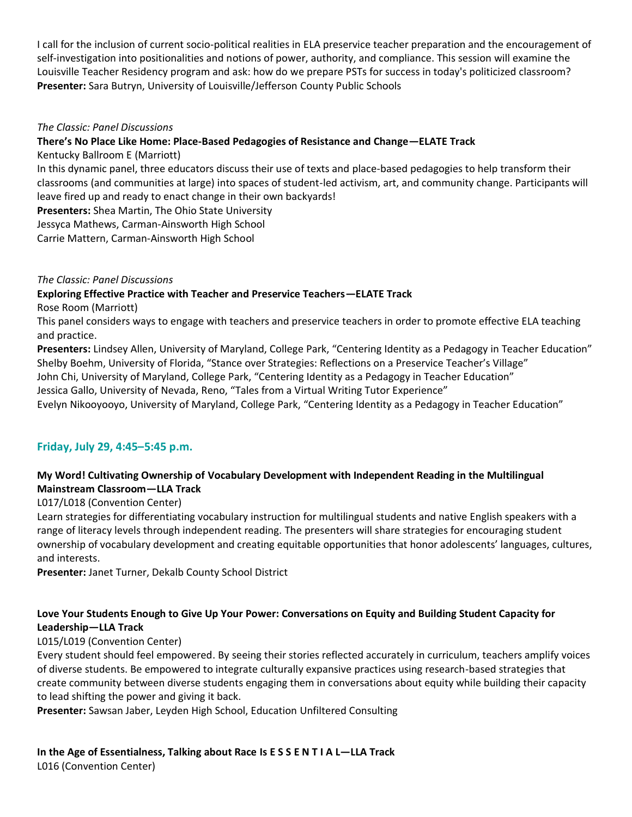I call for the inclusion of current socio-political realities in ELA preservice teacher preparation and the encouragement of self-investigation into positionalities and notions of power, authority, and compliance. This session will examine the Louisville Teacher Residency program and ask: how do we prepare PSTs for success in today's politicized classroom? **Presenter:** Sara Butryn, University of Louisville/Jefferson County Public Schools

### *The Classic: Panel Discussions*

## **There's No Place Like Home: Place-Based Pedagogies of Resistance and Change—ELATE Track**

Kentucky Ballroom E (Marriott)

In this dynamic panel, three educators discuss their use of texts and place-based pedagogies to help transform their classrooms (and communities at large) into spaces of student-led activism, art, and community change. Participants will leave fired up and ready to enact change in their own backyards!

**Presenters:** Shea Martin, The Ohio State University

Jessyca Mathews, Carman-Ainsworth High School

Carrie Mattern, Carman-Ainsworth High School

## *The Classic: Panel Discussions*

**Exploring Effective Practice with Teacher and Preservice Teachers—ELATE Track**

Rose Room (Marriott)

This panel considers ways to engage with teachers and preservice teachers in order to promote effective ELA teaching and practice.

**Presenters:** Lindsey Allen, University of Maryland, College Park, "Centering Identity as a Pedagogy in Teacher Education" Shelby Boehm, University of Florida, "Stance over Strategies: Reflections on a Preservice Teacher's Village"

John Chi, University of Maryland, College Park, "Centering Identity as a Pedagogy in Teacher Education" Jessica Gallo, University of Nevada, Reno, "Tales from a Virtual Writing Tutor Experience"

Evelyn Nikooyooyo, University of Maryland, College Park, "Centering Identity as a Pedagogy in Teacher Education"

## **Friday, July 29, 4:45–5:45 p.m.**

## **My Word! Cultivating Ownership of Vocabulary Development with Independent Reading in the Multilingual Mainstream Classroom—LLA Track**

## L017/L018 (Convention Center)

Learn strategies for differentiating vocabulary instruction for multilingual students and native English speakers with a range of literacy levels through independent reading. The presenters will share strategies for encouraging student ownership of vocabulary development and creating equitable opportunities that honor adolescents' languages, cultures, and interests.

**Presenter:** Janet Turner, Dekalb County School District

## **Love Your Students Enough to Give Up Your Power: Conversations on Equity and Building Student Capacity for Leadership—LLA Track**

## L015/L019 (Convention Center)

Every student should feel empowered. By seeing their stories reflected accurately in curriculum, teachers amplify voices of diverse students. Be empowered to integrate culturally expansive practices using research-based strategies that create community between diverse students engaging them in conversations about equity while building their capacity to lead shifting the power and giving it back.

**Presenter:** Sawsan Jaber, Leyden High School, Education Unfiltered Consulting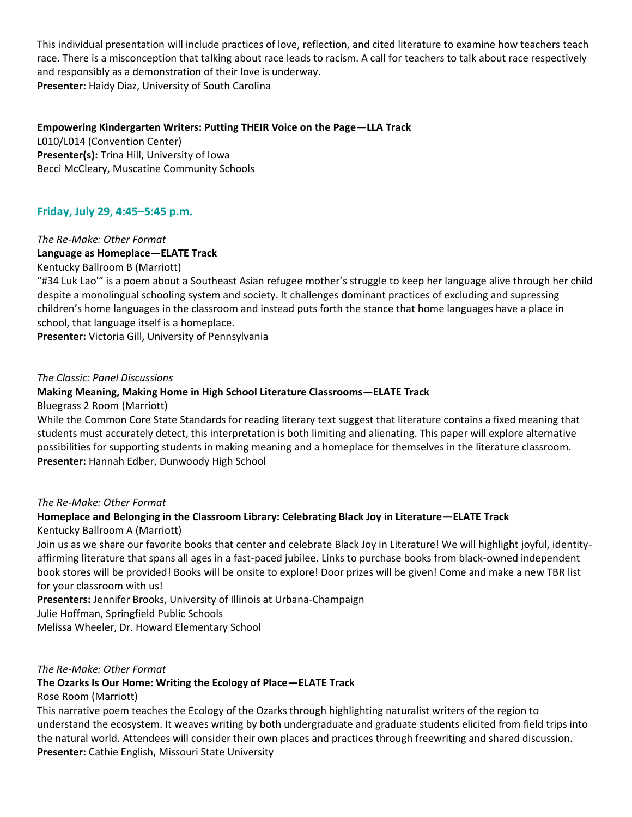This individual presentation will include practices of love, reflection, and cited literature to examine how teachers teach race. There is a misconception that talking about race leads to racism. A call for teachers to talk about race respectively and responsibly as a demonstration of their love is underway. **Presenter:** Haidy Diaz, University of South Carolina

### **Empowering Kindergarten Writers: Putting THEIR Voice on the Page—LLA Track**

L010/L014 (Convention Center) **Presenter(s):** Trina Hill, University of Iowa Becci McCleary, Muscatine Community Schools

## **Friday, July 29, 4:45–5:45 p.m.**

# *The Re-Make: Other Format* **Language as Homeplace—ELATE Track**

### Kentucky Ballroom B (Marriott)

"#34 Luk Lao'" is a poem about a Southeast Asian refugee mother's struggle to keep her language alive through her child despite a monolingual schooling system and society. It challenges dominant practices of excluding and supressing children's home languages in the classroom and instead puts forth the stance that home languages have a place in school, that language itself is a homeplace.

**Presenter:** Victoria Gill, University of Pennsylvania

### *The Classic: Panel Discussions*

### **Making Meaning, Making Home in High School Literature Classrooms—ELATE Track**

Bluegrass 2 Room (Marriott)

While the Common Core State Standards for reading literary text suggest that literature contains a fixed meaning that students must accurately detect, this interpretation is both limiting and alienating. This paper will explore alternative possibilities for supporting students in making meaning and a homeplace for themselves in the literature classroom. **Presenter:** Hannah Edber, Dunwoody High School

### *The Re-Make: Other Format*

## **Homeplace and Belonging in the Classroom Library: Celebrating Black Joy in Literature—ELATE Track** Kentucky Ballroom A (Marriott)

Join us as we share our favorite books that center and celebrate Black Joy in Literature! We will highlight joyful, identityaffirming literature that spans all ages in a fast-paced jubilee. Links to purchase books from black-owned independent book stores will be provided! Books will be onsite to explore! Door prizes will be given! Come and make a new TBR list for your classroom with us!

**Presenters:** Jennifer Brooks, University of Illinois at Urbana-Champaign

Julie Hoffman, Springfield Public Schools

Melissa Wheeler, Dr. Howard Elementary School

### *The Re-Make: Other Format*

### **The Ozarks Is Our Home: Writing the Ecology of Place—ELATE Track**

### Rose Room (Marriott)

This narrative poem teaches the Ecology of the Ozarks through highlighting naturalist writers of the region to understand the ecosystem. It weaves writing by both undergraduate and graduate students elicited from field trips into the natural world. Attendees will consider their own places and practices through freewriting and shared discussion. **Presenter:** Cathie English, Missouri State University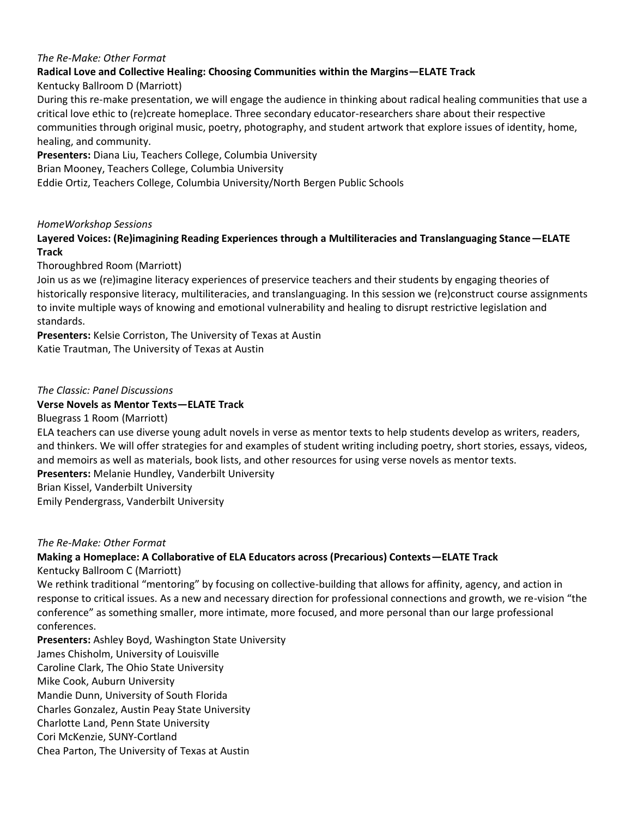### *The Re-Make: Other Format*

## **Radical Love and Collective Healing: Choosing Communities within the Margins—ELATE Track**

Kentucky Ballroom D (Marriott)

During this re-make presentation, we will engage the audience in thinking about radical healing communities that use a critical love ethic to (re)create homeplace. Three secondary educator-researchers share about their respective communities through original music, poetry, photography, and student artwork that explore issues of identity, home, healing, and community.

**Presenters:** Diana Liu, Teachers College, Columbia University

Brian Mooney, Teachers College, Columbia University

Eddie Ortiz, Teachers College, Columbia University/North Bergen Public Schools

### *HomeWorkshop Sessions*

## **Layered Voices: (Re)imagining Reading Experiences through a Multiliteracies and Translanguaging Stance—ELATE Track**

Thoroughbred Room (Marriott)

Join us as we (re)imagine literacy experiences of preservice teachers and their students by engaging theories of historically responsive literacy, multiliteracies, and translanguaging. In this session we (re)construct course assignments to invite multiple ways of knowing and emotional vulnerability and healing to disrupt restrictive legislation and standards.

**Presenters:** Kelsie Corriston, The University of Texas at Austin Katie Trautman, The University of Texas at Austin

### *The Classic: Panel Discussions*

### **Verse Novels as Mentor Texts—ELATE Track**

Bluegrass 1 Room (Marriott)

ELA teachers can use diverse young adult novels in verse as mentor texts to help students develop as writers, readers, and thinkers. We will offer strategies for and examples of student writing including poetry, short stories, essays, videos, and memoirs as well as materials, book lists, and other resources for using verse novels as mentor texts. **Presenters:** Melanie Hundley, Vanderbilt University

Brian Kissel, Vanderbilt University

Emily Pendergrass, Vanderbilt University

#### *The Re-Make: Other Format*

## **Making a Homeplace: A Collaborative of ELA Educators across (Precarious) Contexts—ELATE Track**

Kentucky Ballroom C (Marriott)

We rethink traditional "mentoring" by focusing on collective-building that allows for affinity, agency, and action in response to critical issues. As a new and necessary direction for professional connections and growth, we re-vision "the conference" as something smaller, more intimate, more focused, and more personal than our large professional conferences.

**Presenters:** Ashley Boyd, Washington State University James Chisholm, University of Louisville Caroline Clark, The Ohio State University Mike Cook, Auburn University Mandie Dunn, University of South Florida Charles Gonzalez, Austin Peay State University Charlotte Land, Penn State University Cori McKenzie, SUNY-Cortland Chea Parton, The University of Texas at Austin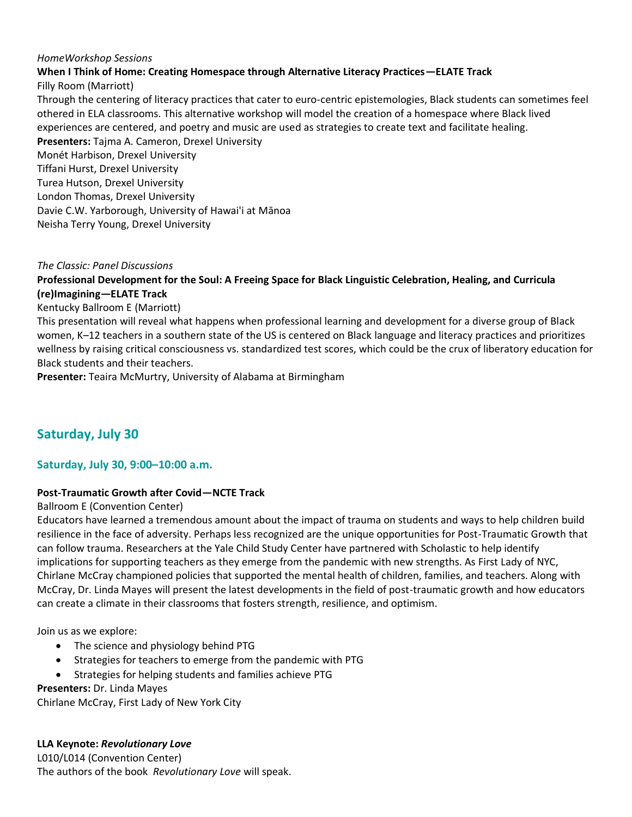### *HomeWorkshop Sessions*

## **When I Think of Home: Creating Homespace through Alternative Literacy Practices—ELATE Track**

Filly Room (Marriott)

Through the centering of literacy practices that cater to euro-centric epistemologies, Black students can sometimes feel othered in ELA classrooms. This alternative workshop will model the creation of a homespace where Black lived experiences are centered, and poetry and music are used as strategies to create text and facilitate healing. **Presenters:** Tajma A. Cameron, Drexel University Monét Harbison, Drexel University Tiffani Hurst, Drexel University Turea Hutson, Drexel University London Thomas, Drexel University Davie C.W. Yarborough, University of Hawai'i at Mānoa Neisha Terry Young, Drexel University

### *The Classic: Panel Discussions*

**Professional Development for the Soul: A Freeing Space for Black Linguistic Celebration, Healing, and Curricula (re)Imagining—ELATE Track**

Kentucky Ballroom E (Marriott)

This presentation will reveal what happens when professional learning and development for a diverse group of Black women, K–12 teachers in a southern state of the US is centered on Black language and literacy practices and prioritizes wellness by raising critical consciousness vs. standardized test scores, which could be the crux of liberatory education for Black students and their teachers.

**Presenter:** Teaira McMurtry, University of Alabama at Birmingham

# **Saturday, July 30**

## **Saturday, July 30, 9:00–10:00 a.m.**

### **Post-Traumatic Growth after Covid—NCTE Track**

Ballroom E (Convention Center)

Educators have learned a tremendous amount about the impact of trauma on students and ways to help children build resilience in the face of adversity. Perhaps less recognized are the unique opportunities for Post-Traumatic Growth that can follow trauma. Researchers at the Yale Child Study Center have partnered with Scholastic to help identify implications for supporting teachers as they emerge from the pandemic with new strengths. As First Lady of NYC, Chirlane McCray championed policies that supported the mental health of children, families, and teachers. Along with McCray, Dr. Linda Mayes will present the latest developments in the field of post-traumatic growth and how educators can create a climate in their classrooms that fosters strength, resilience, and optimism.

Join us as we explore:

- The science and physiology behind PTG
- Strategies for teachers to emerge from the pandemic with PTG
- Strategies for helping students and families achieve PTG

### **Presenters:** Dr. Linda Mayes

Chirlane McCray, First Lady of New York City

**LLA Keynote:** *Revolutionary Love*

L010/L014 (Convention Center) The authors of the book *Revolutionary Love* will speak.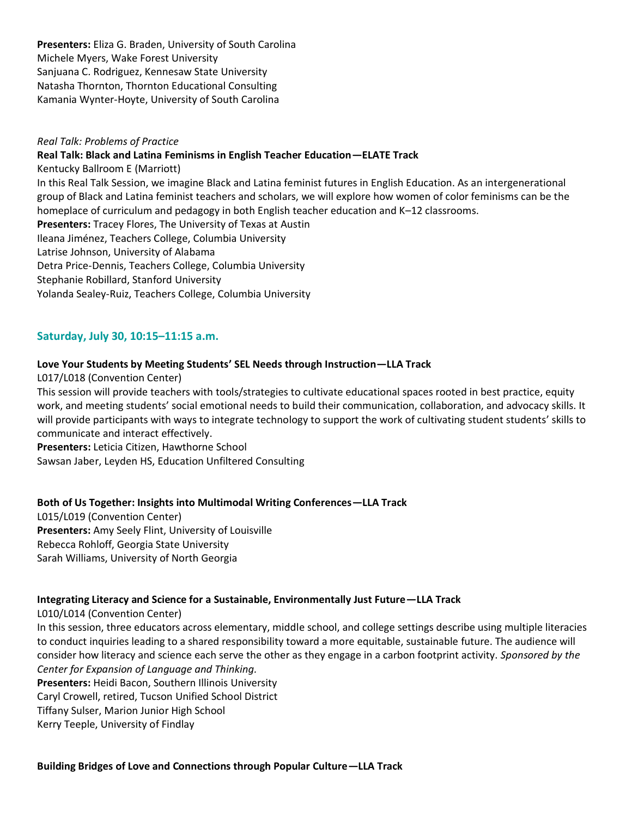**Presenters:** Eliza G. Braden, University of South Carolina Michele Myers, Wake Forest University Sanjuana C. Rodriguez, Kennesaw State University Natasha Thornton, Thornton Educational Consulting Kamania Wynter-Hoyte, University of South Carolina

### *Real Talk: Problems of Practice*

**Real Talk: Black and Latina Feminisms in English Teacher Education—ELATE Track**

Kentucky Ballroom E (Marriott) In this Real Talk Session, we imagine Black and Latina feminist futures in English Education. As an intergenerational group of Black and Latina feminist teachers and scholars, we will explore how women of color feminisms can be the homeplace of curriculum and pedagogy in both English teacher education and K–12 classrooms. **Presenters:** Tracey Flores, The University of Texas at Austin Ileana Jiménez, Teachers College, Columbia University Latrise Johnson, University of Alabama Detra Price-Dennis, Teachers College, Columbia University Stephanie Robillard, Stanford University Yolanda Sealey-Ruiz, Teachers College, Columbia University

## **Saturday, July 30, 10:15–11:15 a.m.**

### **Love Your Students by Meeting Students' SEL Needs through Instruction—LLA Track**

L017/L018 (Convention Center)

This session will provide teachers with tools/strategies to cultivate educational spaces rooted in best practice, equity work, and meeting students' social emotional needs to build their communication, collaboration, and advocacy skills. It will provide participants with ways to integrate technology to support the work of cultivating student students' skills to communicate and interact effectively.

**Presenters:** Leticia Citizen, Hawthorne School

Sawsan Jaber, Leyden HS, Education Unfiltered Consulting

### **Both of Us Together: Insights into Multimodal Writing Conferences—LLA Track**

L015/L019 (Convention Center) **Presenters:** Amy Seely Flint, University of Louisville Rebecca Rohloff, Georgia State University Sarah Williams, University of North Georgia

### **Integrating Literacy and Science for a Sustainable, Environmentally Just Future—LLA Track**

#### L010/L014 (Convention Center)

In this session, three educators across elementary, middle school, and college settings describe using multiple literacies to conduct inquiries leading to a shared responsibility toward a more equitable, sustainable future. The audience will consider how literacy and science each serve the other as they engage in a carbon footprint activity. *Sponsored by the Center for Expansion of Language and Thinking.* **Presenters:** Heidi Bacon, Southern Illinois University

Caryl Crowell, retired, Tucson Unified School District

Tiffany Sulser, Marion Junior High School

Kerry Teeple, University of Findlay

**Building Bridges of Love and Connections through Popular Culture—LLA Track**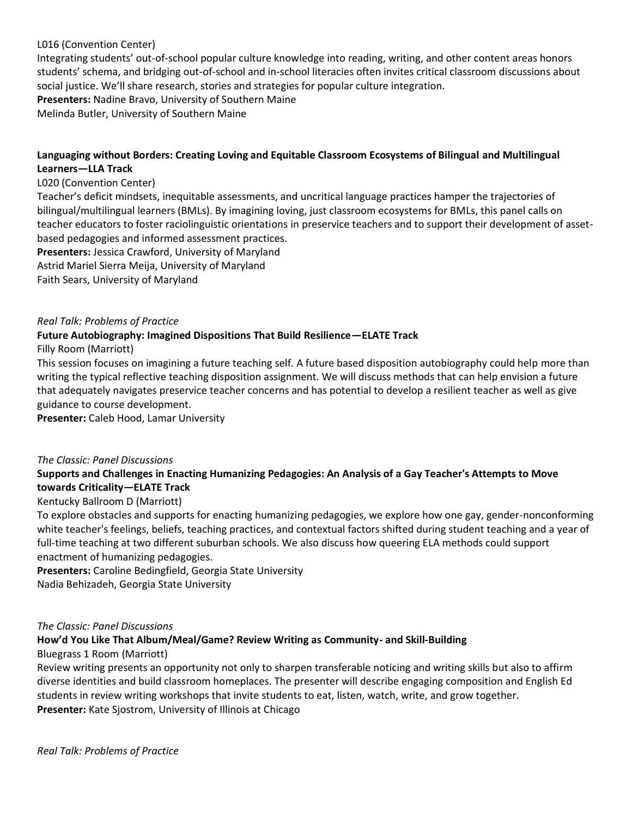## L016 (Convention Center)

Integrating students' out-of-school popular culture knowledge into reading, writing, and other content areas honors students' schema, and bridging out-of-school and in-school literacies often invites critical classroom discussions about social justice. We'll share research, stories and strategies for popular culture integration. **Presenters:** Nadine Bravo, University of Southern Maine Melinda Butler, University of Southern Maine

## **Languaging without Borders: Creating Loving and Equitable Classroom Ecosystems of Bilingual and Multilingual Learners—LLA Track**

### L020 (Convention Center)

Teacher's deficit mindsets, inequitable assessments, and uncritical language practices hamper the trajectories of bilingual/multilingual learners (BMLs). By imagining loving, just classroom ecosystems for BMLs, this panel calls on teacher educators to foster raciolinguistic orientations in preservice teachers and to support their development of assetbased pedagogies and informed assessment practices.

**Presenters:** Jessica Crawford, University of Maryland

Astrid Mariel Sierra Meija, University of Maryland

Faith Sears, University of Maryland

### *Real Talk: Problems of Practice*

## **Future Autobiography: Imagined Dispositions That Build Resilience—ELATE Track**

Filly Room (Marriott)

This session focuses on imagining a future teaching self. A future based disposition autobiography could help more than writing the typical reflective teaching disposition assignment. We will discuss methods that can help envision a future that adequately navigates preservice teacher concerns and has potential to develop a resilient teacher as well as give guidance to course development.

**Presenter:** Caleb Hood, Lamar University

### *The Classic: Panel Discussions*

## **Supports and Challenges in Enacting Humanizing Pedagogies: An Analysis of a Gay Teacher's Attempts to Move towards Criticality—ELATE Track**

### Kentucky Ballroom D (Marriott)

To explore obstacles and supports for enacting humanizing pedagogies, we explore how one gay, gender-nonconforming white teacher's feelings, beliefs, teaching practices, and contextual factors shifted during student teaching and a year of full-time teaching at two different suburban schools. We also discuss how queering ELA methods could support enactment of humanizing pedagogies.

**Presenters:** Caroline Bedingfield, Georgia State University Nadia Behizadeh, Georgia State University

### *The Classic: Panel Discussions*

### **How'd You Like That Album/Meal/Game? Review Writing as Community- and Skill-Building**

### Bluegrass 1 Room (Marriott)

Review writing presents an opportunity not only to sharpen transferable noticing and writing skills but also to affirm diverse identities and build classroom homeplaces. The presenter will describe engaging composition and English Ed students in review writing workshops that invite students to eat, listen, watch, write, and grow together. **Presenter:** Kate Sjostrom, University of Illinois at Chicago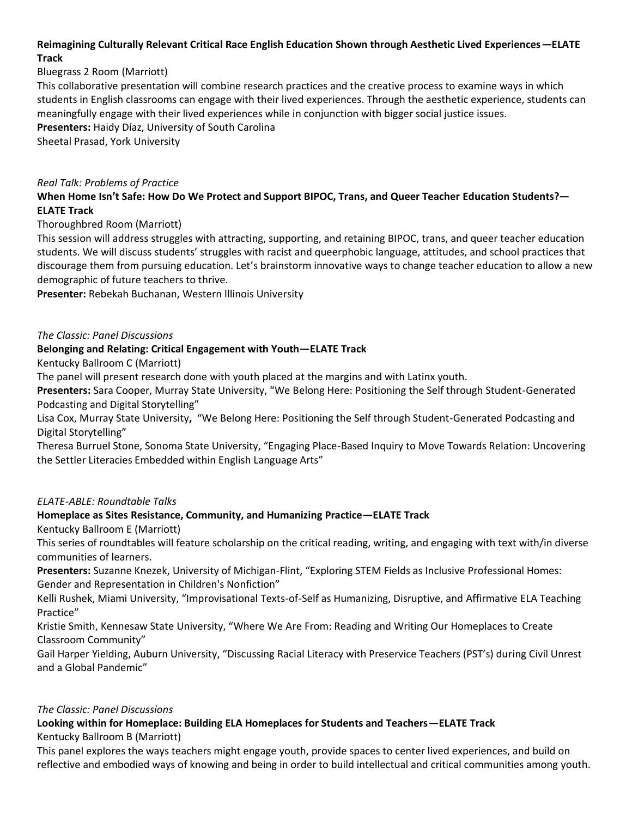## **Reimagining Culturally Relevant Critical Race English Education Shown through Aesthetic Lived Experiences—ELATE Track**

## Bluegrass 2 Room (Marriott)

This collaborative presentation will combine research practices and the creative process to examine ways in which students in English classrooms can engage with their lived experiences. Through the aesthetic experience, students can meaningfully engage with their lived experiences while in conjunction with bigger social justice issues.

**Presenters:** Haidy Díaz, University of South Carolina

Sheetal Prasad, York University

## *Real Talk: Problems of Practice*

**When Home Isn't Safe: How Do We Protect and Support BIPOC, Trans, and Queer Teacher Education Students?— ELATE Track**

Thoroughbred Room (Marriott)

This session will address struggles with attracting, supporting, and retaining BIPOC, trans, and queer teacher education students. We will discuss students' struggles with racist and queerphobic language, attitudes, and school practices that discourage them from pursuing education. Let's brainstorm innovative ways to change teacher education to allow a new demographic of future teachers to thrive.

**Presenter:** Rebekah Buchanan, Western Illinois University

## *The Classic: Panel Discussions*

## **Belonging and Relating: Critical Engagement with Youth—ELATE Track**

Kentucky Ballroom C (Marriott)

The panel will present research done with youth placed at the margins and with Latinx youth.

**Presenters:** Sara Cooper, Murray State University, "We Belong Here: Positioning the Self through Student-Generated Podcasting and Digital Storytelling"

Lisa Cox, Murray State University**,** "We Belong Here: Positioning the Self through Student-Generated Podcasting and Digital Storytelling"

Theresa Burruel Stone, Sonoma State University, "Engaging Place-Based Inquiry to Move Towards Relation: Uncovering the Settler Literacies Embedded within English Language Arts"

### *ELATE-ABLE: Roundtable Talks*

## **Homeplace as Sites Resistance, Community, and Humanizing Practice—ELATE Track**

Kentucky Ballroom E (Marriott)

This series of roundtables will feature scholarship on the critical reading, writing, and engaging with text with/in diverse communities of learners.

**Presenters:** Suzanne Knezek, University of Michigan-Flint, "Exploring STEM Fields as Inclusive Professional Homes: Gender and Representation in Children's Nonfiction"

Kelli Rushek, Miami University, "Improvisational Texts-of-Self as Humanizing, Disruptive, and Affirmative ELA Teaching Practice"

Kristie Smith, Kennesaw State University, "Where We Are From: Reading and Writing Our Homeplaces to Create Classroom Community"

Gail Harper Yielding, Auburn University, "Discussing Racial Literacy with Preservice Teachers (PST's) during Civil Unrest and a Global Pandemic"

### *The Classic: Panel Discussions*

### **Looking within for Homeplace: Building ELA Homeplaces for Students and Teachers—ELATE Track** Kentucky Ballroom B (Marriott)

This panel explores the ways teachers might engage youth, provide spaces to center lived experiences, and build on reflective and embodied ways of knowing and being in order to build intellectual and critical communities among youth.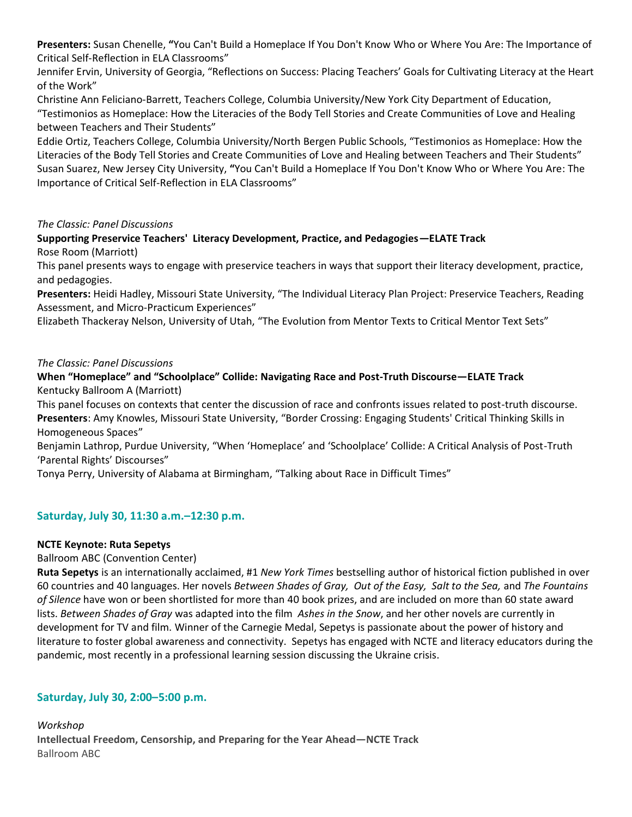**Presenters:** Susan Chenelle, **"**You Can't Build a Homeplace If You Don't Know Who or Where You Are: The Importance of Critical Self-Reflection in ELA Classrooms"

Jennifer Ervin, University of Georgia, "Reflections on Success: Placing Teachers' Goals for Cultivating Literacy at the Heart of the Work"

Christine Ann Feliciano-Barrett, Teachers College, Columbia University/New York City Department of Education, "Testimonios as Homeplace: How the Literacies of the Body Tell Stories and Create Communities of Love and Healing between Teachers and Their Students"

Eddie Ortiz, Teachers College, Columbia University/North Bergen Public Schools, "Testimonios as Homeplace: How the Literacies of the Body Tell Stories and Create Communities of Love and Healing between Teachers and Their Students" Susan Suarez, New Jersey City University, **"**You Can't Build a Homeplace If You Don't Know Who or Where You Are: The Importance of Critical Self-Reflection in ELA Classrooms"

*The Classic: Panel Discussions* 

**Supporting Preservice Teachers' Literacy Development, Practice, and Pedagogies—ELATE Track** Rose Room (Marriott)

This panel presents ways to engage with preservice teachers in ways that support their literacy development, practice, and pedagogies.

**Presenters:** Heidi Hadley, Missouri State University, "The Individual Literacy Plan Project: Preservice Teachers, Reading Assessment, and Micro-Practicum Experiences"

Elizabeth Thackeray Nelson, University of Utah, "The Evolution from Mentor Texts to Critical Mentor Text Sets"

## *The Classic: Panel Discussions*

**When "Homeplace" and "Schoolplace" Collide: Navigating Race and Post-Truth Discourse—ELATE Track** Kentucky Ballroom A (Marriott)

This panel focuses on contexts that center the discussion of race and confronts issues related to post-truth discourse. **Presenters**: Amy Knowles, Missouri State University, "Border Crossing: Engaging Students' Critical Thinking Skills in Homogeneous Spaces"

Benjamin Lathrop, Purdue University, "When 'Homeplace' and 'Schoolplace' Collide: A Critical Analysis of Post-Truth 'Parental Rights' Discourses"

Tonya Perry, University of Alabama at Birmingham, "Talking about Race in Difficult Times"

## **Saturday, July 30, 11:30 a.m.–12:30 p.m.**

### **NCTE Keynote: Ruta Sepetys**

Ballroom ABC (Convention Center)

**Ruta Sepetys** is an internationally acclaimed, #1 *New York Times* bestselling author of historical fiction published in over 60 countries and 40 languages. Her novels *Between Shades of Gray, Out of the Easy, Salt to the Sea,* and *The Fountains of Silence* have won or been shortlisted for more than 40 book prizes, and are included on more than 60 state award lists. *Between Shades of Gray* was adapted into the film *Ashes in the Snow*, and her other novels are currently in development for TV and film. Winner of the Carnegie Medal, Sepetys is passionate about the power of history and literature to foster global awareness and connectivity. Sepetys has engaged with NCTE and literacy educators during the pandemic, most recently in a professional learning session discussing the Ukraine crisis.

## **Saturday, July 30, 2:00–5:00 p.m.**

*Workshop* **Intellectual Freedom, Censorship, and Preparing for the Year Ahead—NCTE Track** Ballroom ABC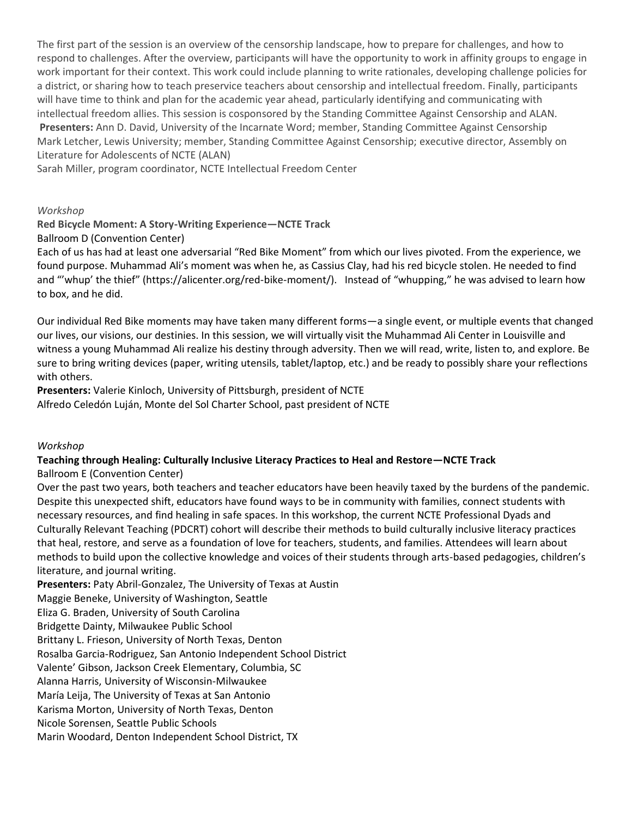The first part of the session is an overview of the censorship landscape, how to prepare for challenges, and how to respond to challenges. After the overview, participants will have the opportunity to work in affinity groups to engage in work important for their context. This work could include planning to write rationales, developing challenge policies for a district, or sharing how to teach preservice teachers about censorship and intellectual freedom. Finally, participants will have time to think and plan for the academic year ahead, particularly identifying and communicating with intellectual freedom allies. This session is cosponsored by the Standing Committee Against Censorship and ALAN. **Presenters:** Ann D. David, University of the Incarnate Word; member, Standing Committee Against Censorship Mark Letcher, Lewis University; member, Standing Committee Against Censorship; executive director, Assembly on Literature for Adolescents of NCTE (ALAN)

Sarah Miller, program coordinator, NCTE Intellectual Freedom Center

#### *Workshop*

**Red Bicycle Moment: A Story-Writing Experience—NCTE Track**

Ballroom D (Convention Center)

Each of us has had at least one adversarial "Red Bike Moment" from which our lives pivoted. From the experience, we found purpose. Muhammad Ali's moment was when he, as Cassius Clay, had his red bicycle stolen. He needed to find and "'whup' the thief" (https://alicenter.org/red-bike-moment/).   Instead of "whupping," he was advised to learn how to box, and he did.

Our individual Red Bike moments may have taken many different forms—a single event, or multiple events that changed our lives, our visions, our destinies. In this session, we will virtually visit the Muhammad Ali Center in Louisville and witness a young Muhammad Ali realize his destiny through adversity. Then we will read, write, listen to, and explore. Be sure to bring writing devices (paper, writing utensils, tablet/laptop, etc.) and be ready to possibly share your reflections with others.

**Presenters:** Valerie Kinloch, University of Pittsburgh, president of NCTE Alfredo Celedón Luján, Monte del Sol Charter School, past president of NCTE

#### *Workshop*

## **Teaching through Healing: Culturally Inclusive Literacy Practices to Heal and Restore—NCTE Track**

Ballroom E (Convention Center)

Over the past two years, both teachers and teacher educators have been heavily taxed by the burdens of the pandemic. Despite this unexpected shift, educators have found ways to be in community with families, connect students with necessary resources, and find healing in safe spaces. In this workshop, the current NCTE Professional Dyads and Culturally Relevant Teaching (PDCRT) cohort will describe their methods to build culturally inclusive literacy practices that heal, restore, and serve as a foundation of love for teachers, students, and families. Attendees will learn about methods to build upon the collective knowledge and voices of their students through arts-based pedagogies, children's literature, and journal writing.

**Presenters:** Paty Abril-Gonzalez, The University of Texas at Austin Maggie Beneke, University of Washington, Seattle Eliza G. Braden, University of South Carolina Bridgette Dainty, Milwaukee Public School Brittany L. Frieson, University of North Texas, Denton Rosalba Garcia-Rodriguez, San Antonio Independent School District Valente' Gibson, Jackson Creek Elementary, Columbia, SC Alanna Harris, University of Wisconsin-Milwaukee María Leija, The University of Texas at San Antonio Karisma Morton, University of North Texas, Denton Nicole Sorensen, Seattle Public Schools Marin Woodard, Denton Independent School District, TX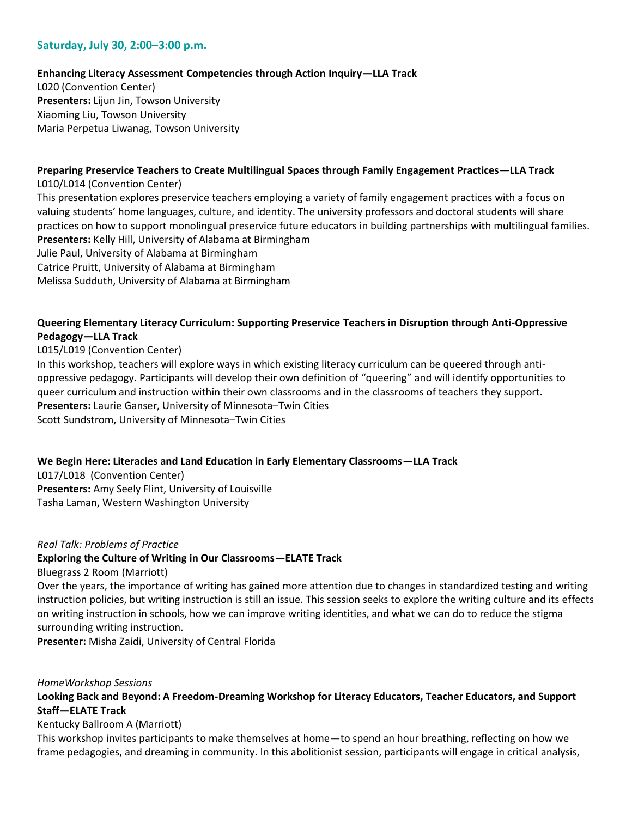## **Saturday, July 30, 2:00–3:00 p.m.**

### **Enhancing Literacy Assessment Competencies through Action Inquiry—LLA Track**

L020 (Convention Center) **Presenters:** Lijun Jin, Towson University Xiaoming Liu, Towson University Maria Perpetua Liwanag, Towson University

# **Preparing Preservice Teachers to Create Multilingual Spaces through Family Engagement Practices—LLA Track**

L010/L014 (Convention Center) This presentation explores preservice teachers employing a variety of family engagement practices with a focus on valuing students' home languages, culture, and identity. The university professors and doctoral students will share practices on how to support monolingual preservice future educators in building partnerships with multilingual families. **Presenters:** Kelly Hill, University of Alabama at Birmingham Julie Paul, University of Alabama at Birmingham Catrice Pruitt, University of Alabama at Birmingham Melissa Sudduth, University of Alabama at Birmingham

## **Queering Elementary Literacy Curriculum: Supporting Preservice Teachers in Disruption through Anti-Oppressive Pedagogy—LLA Track**

L015/L019 (Convention Center)

In this workshop, teachers will explore ways in which existing literacy curriculum can be queered through antioppressive pedagogy. Participants will develop their own definition of "queering" and will identify opportunities to queer curriculum and instruction within their own classrooms and in the classrooms of teachers they support. **Presenters:** Laurie Ganser, University of Minnesota–Twin Cities Scott Sundstrom, University of Minnesota–Twin Cities

### **We Begin Here: Literacies and Land Education in Early Elementary Classrooms—LLA Track**

L017/L018 (Convention Center) **Presenters:** Amy Seely Flint, University of Louisville Tasha Laman, Western Washington University

#### *Real Talk: Problems of Practice*

### **Exploring the Culture of Writing in Our Classrooms—ELATE Track**

Bluegrass 2 Room (Marriott)

Over the years, the importance of writing has gained more attention due to changes in standardized testing and writing instruction policies, but writing instruction is still an issue. This session seeks to explore the writing culture and its effects on writing instruction in schools, how we can improve writing identities, and what we can do to reduce the stigma surrounding writing instruction.

**Presenter:** Misha Zaidi, University of Central Florida

### *HomeWorkshop Sessions*

**Looking Back and Beyond: A Freedom-Dreaming Workshop for Literacy Educators, Teacher Educators, and Support Staff—ELATE Track**

Kentucky Ballroom A (Marriott)

This workshop invites participants to make themselves at home**—**to spend an hour breathing, reflecting on how we frame pedagogies, and dreaming in community. In this abolitionist session, participants will engage in critical analysis,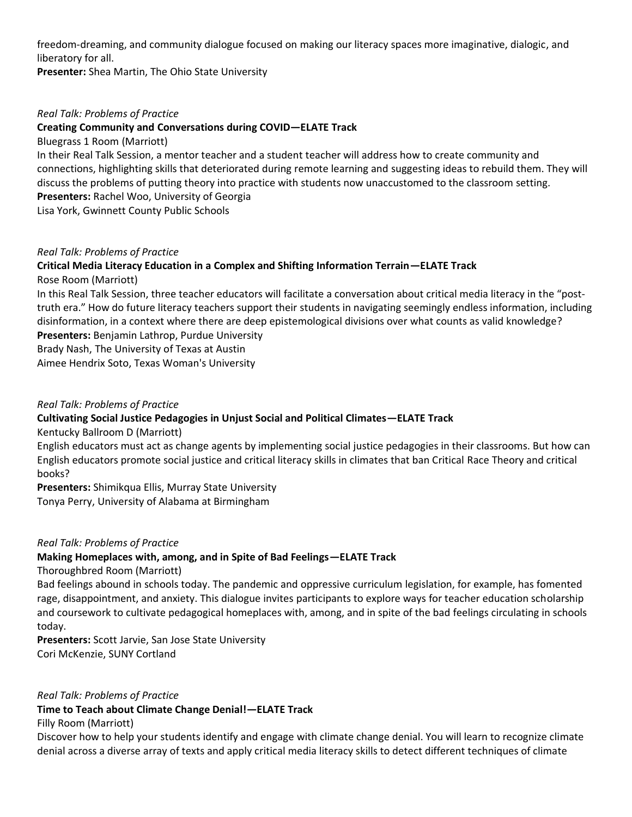freedom-dreaming, and community dialogue focused on making our literacy spaces more imaginative, dialogic, and liberatory for all.

**Presenter:** Shea Martin, The Ohio State University

### *Real Talk: Problems of Practice*

## **Creating Community and Conversations during COVID—ELATE Track**

Bluegrass 1 Room (Marriott)

In their Real Talk Session, a mentor teacher and a student teacher will address how to create community and connections, highlighting skills that deteriorated during remote learning and suggesting ideas to rebuild them. They will discuss the problems of putting theory into practice with students now unaccustomed to the classroom setting. **Presenters:** Rachel Woo, University of Georgia

Lisa York, Gwinnett County Public Schools

### *Real Talk: Problems of Practice*

## **Critical Media Literacy Education in a Complex and Shifting Information Terrain—ELATE Track** Rose Room (Marriott)

In this Real Talk Session, three teacher educators will facilitate a conversation about critical media literacy in the "posttruth era." How do future literacy teachers support their students in navigating seemingly endless information, including disinformation, in a context where there are deep epistemological divisions over what counts as valid knowledge? **Presenters:** Benjamin Lathrop, Purdue University

Brady Nash, The University of Texas at Austin

Aimee Hendrix Soto, Texas Woman's University

### *Real Talk: Problems of Practice*

## **Cultivating Social Justice Pedagogies in Unjust Social and Political Climates—ELATE Track**

Kentucky Ballroom D (Marriott)

English educators must act as change agents by implementing social justice pedagogies in their classrooms. But how can English educators promote social justice and critical literacy skills in climates that ban Critical Race Theory and critical books?

**Presenters:** Shimikqua Ellis, Murray State University

Tonya Perry, University of Alabama at Birmingham

#### *Real Talk: Problems of Practice*

### **Making Homeplaces with, among, and in Spite of Bad Feelings—ELATE Track**

Thoroughbred Room (Marriott)

Bad feelings abound in schools today. The pandemic and oppressive curriculum legislation, for example, has fomented rage, disappointment, and anxiety. This dialogue invites participants to explore ways for teacher education scholarship and coursework to cultivate pedagogical homeplaces with, among, and in spite of the bad feelings circulating in schools today.

**Presenters:** Scott Jarvie, San Jose State University Cori McKenzie, SUNY Cortland

#### *Real Talk: Problems of Practice*

### **Time to Teach about Climate Change Denial!—ELATE Track**

Filly Room (Marriott)

Discover how to help your students identify and engage with climate change denial. You will learn to recognize climate denial across a diverse array of texts and apply critical media literacy skills to detect different techniques of climate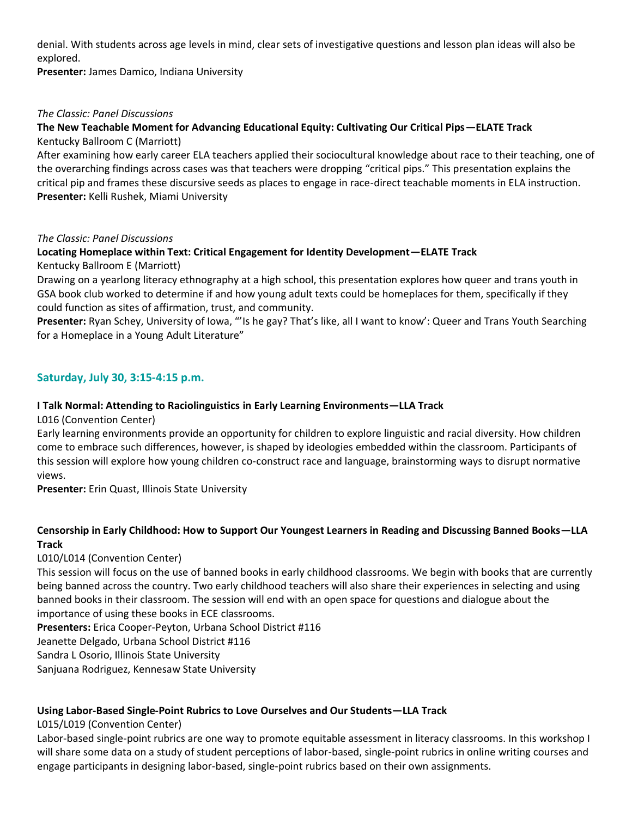denial. With students across age levels in mind, clear sets of investigative questions and lesson plan ideas will also be explored.

**Presenter:** James Damico, Indiana University

### *The Classic: Panel Discussions*

## **The New Teachable Moment for Advancing Educational Equity: Cultivating Our Critical Pips—ELATE Track** Kentucky Ballroom C (Marriott)

After examining how early career ELA teachers applied their sociocultural knowledge about race to their teaching, one of the overarching findings across cases was that teachers were dropping "critical pips." This presentation explains the critical pip and frames these discursive seeds as places to engage in race-direct teachable moments in ELA instruction. **Presenter:** Kelli Rushek, Miami University

*The Classic: Panel Discussions*

### **Locating Homeplace within Text: Critical Engagement for Identity Development—ELATE Track** Kentucky Ballroom E (Marriott)

Drawing on a yearlong literacy ethnography at a high school, this presentation explores how queer and trans youth in GSA book club worked to determine if and how young adult texts could be homeplaces for them, specifically if they could function as sites of affirmation, trust, and community.

**Presenter:** Ryan Schey, University of Iowa, "'Is he gay? That's like, all I want to know': Queer and Trans Youth Searching for a Homeplace in a Young Adult Literature"

## **Saturday, July 30, 3:15-4:15 p.m.**

## **I Talk Normal: Attending to Raciolinguistics in Early Learning Environments—LLA Track**

L016 (Convention Center)

Early learning environments provide an opportunity for children to explore linguistic and racial diversity. How children come to embrace such differences, however, is shaped by ideologies embedded within the classroom. Participants of this session will explore how young children co-construct race and language, brainstorming ways to disrupt normative views.

**Presenter:** Erin Quast, Illinois State University

## **Censorship in Early Childhood: How to Support Our Youngest Learners in Reading and Discussing Banned Books—LLA Track**

### L010/L014 (Convention Center)

This session will focus on the use of banned books in early childhood classrooms. We begin with books that are currently being banned across the country. Two early childhood teachers will also share their experiences in selecting and using banned books in their classroom. The session will end with an open space for questions and dialogue about the importance of using these books in ECE classrooms.

**Presenters:** Erica Cooper-Peyton, Urbana School District #116 Jeanette Delgado, Urbana School District #116 Sandra L Osorio, Illinois State University Sanjuana Rodriguez, Kennesaw State University

## **Using Labor-Based Single-Point Rubrics to Love Ourselves and Our Students—LLA Track**

L015/L019 (Convention Center)

Labor-based single-point rubrics are one way to promote equitable assessment in literacy classrooms. In this workshop I will share some data on a study of student perceptions of labor-based, single-point rubrics in online writing courses and engage participants in designing labor-based, single-point rubrics based on their own assignments.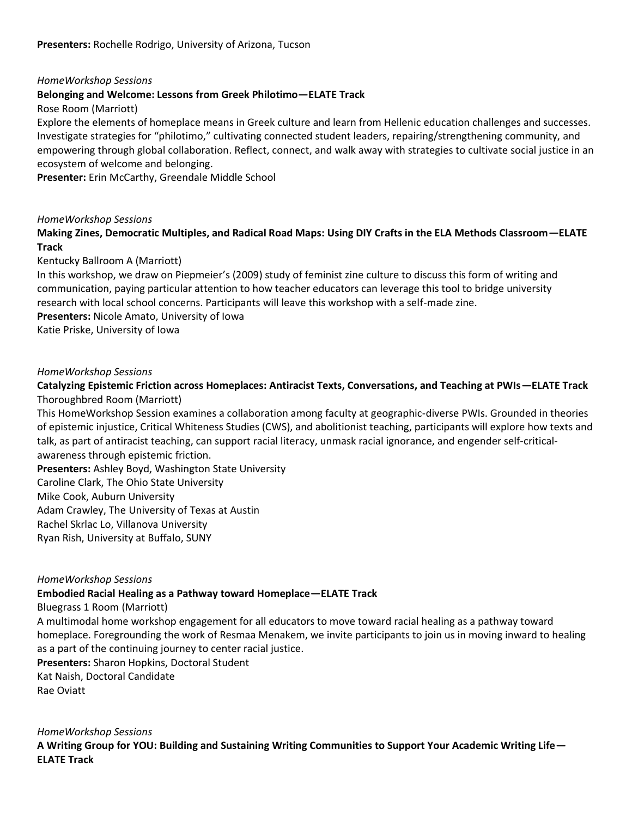#### *HomeWorkshop Sessions* **Belonging and Welcome: Lessons from Greek Philotimo—ELATE Track**

Rose Room (Marriott)

Explore the elements of homeplace means in Greek culture and learn from Hellenic education challenges and successes. Investigate strategies for "philotimo," cultivating connected student leaders, repairing/strengthening community, and empowering through global collaboration. Reflect, connect, and walk away with strategies to cultivate social justice in an ecosystem of welcome and belonging.

**Presenter:** Erin McCarthy, Greendale Middle School

### *HomeWorkshop Sessions*

**Making Zines, Democratic Multiples, and Radical Road Maps: Using DIY Crafts in the ELA Methods Classroom—ELATE Track**

### Kentucky Ballroom A (Marriott)

In this workshop, we draw on Piepmeier's (2009) study of feminist zine culture to discuss this form of writing and communication, paying particular attention to how teacher educators can leverage this tool to bridge university research with local school concerns. Participants will leave this workshop with a self-made zine. **Presenters:** Nicole Amato, University of Iowa

Katie Priske, University of Iowa

### *HomeWorkshop Sessions*

## **Catalyzing Epistemic Friction across Homeplaces: Antiracist Texts, Conversations, and Teaching at PWIs—ELATE Track** Thoroughbred Room (Marriott)

This HomeWorkshop Session examines a collaboration among faculty at geographic-diverse PWIs. Grounded in theories of epistemic injustice, Critical Whiteness Studies (CWS), and abolitionist teaching, participants will explore how texts and talk, as part of antiracist teaching, can support racial literacy, unmask racial ignorance, and engender self-criticalawareness through epistemic friction.

**Presenters:** Ashley Boyd, Washington State University Caroline Clark, The Ohio State University Mike Cook, Auburn University Adam Crawley, The University of Texas at Austin Rachel Skrlac Lo, Villanova University Ryan Rish, University at Buffalo, SUNY

#### *HomeWorkshop Sessions*

### **Embodied Racial Healing as a Pathway toward Homeplace—ELATE Track**

Bluegrass 1 Room (Marriott)

A multimodal home workshop engagement for all educators to move toward racial healing as a pathway toward homeplace. Foregrounding the work of Resmaa Menakem, we invite participants to join us in moving inward to healing as a part of the continuing journey to center racial justice.

**Presenters:** Sharon Hopkins, Doctoral Student Kat Naish, Doctoral Candidate Rae Oviatt

*HomeWorkshop Sessions*

**A Writing Group for YOU: Building and Sustaining Writing Communities to Support Your Academic Writing Life— ELATE Track**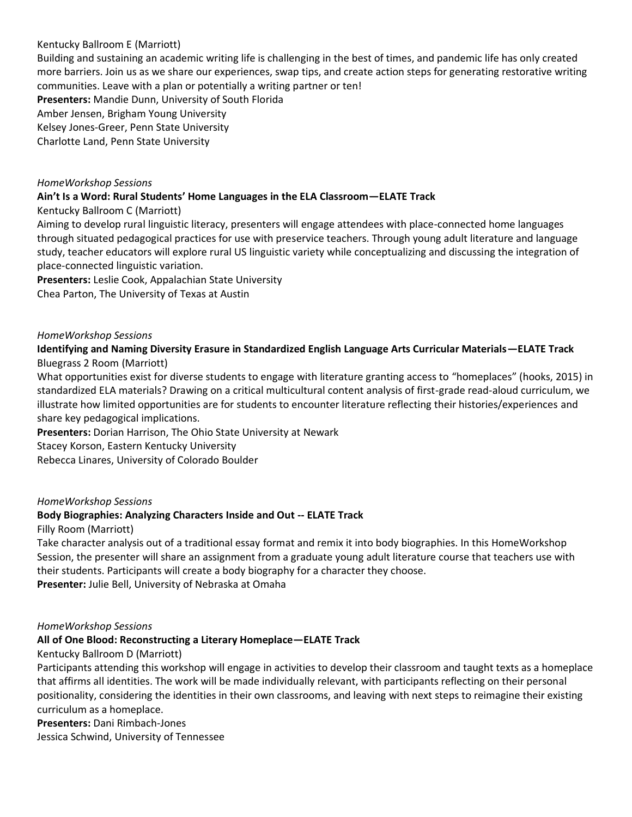## Kentucky Ballroom E (Marriott)

Building and sustaining an academic writing life is challenging in the best of times, and pandemic life has only created more barriers. Join us as we share our experiences, swap tips, and create action steps for generating restorative writing communities. Leave with a plan or potentially a writing partner or ten! **Presenters:** Mandie Dunn, University of South Florida Amber Jensen, Brigham Young University Kelsey Jones-Greer, Penn State University Charlotte Land, Penn State University

### *HomeWorkshop Sessions*

### **Ain't Is a Word: Rural Students' Home Languages in the ELA Classroom—ELATE Track**

Kentucky Ballroom C (Marriott)

Aiming to develop rural linguistic literacy, presenters will engage attendees with place-connected home languages through situated pedagogical practices for use with preservice teachers. Through young adult literature and language study, teacher educators will explore rural US linguistic variety while conceptualizing and discussing the integration of place-connected linguistic variation.

**Presenters:** Leslie Cook, Appalachian State University

Chea Parton, The University of Texas at Austin

### *HomeWorkshop Sessions*

**Identifying and Naming Diversity Erasure in Standardized English Language Arts Curricular Materials—ELATE Track** Bluegrass 2 Room (Marriott)

What opportunities exist for diverse students to engage with literature granting access to "homeplaces" (hooks, 2015) in standardized ELA materials? Drawing on a critical multicultural content analysis of first-grade read-aloud curriculum, we illustrate how limited opportunities are for students to encounter literature reflecting their histories/experiences and share key pedagogical implications.

**Presenters:** Dorian Harrison, The Ohio State University at Newark

Stacey Korson, Eastern Kentucky University

Rebecca Linares, University of Colorado Boulder

### *HomeWorkshop Sessions*

### **Body Biographies: Analyzing Characters Inside and Out -- ELATE Track**

Filly Room (Marriott)

Take character analysis out of a traditional essay format and remix it into body biographies. In this HomeWorkshop Session, the presenter will share an assignment from a graduate young adult literature course that teachers use with their students. Participants will create a body biography for a character they choose. **Presenter:** Julie Bell, University of Nebraska at Omaha

#### *HomeWorkshop Sessions*

### **All of One Blood: Reconstructing a Literary Homeplace—ELATE Track**

Kentucky Ballroom D (Marriott)

Participants attending this workshop will engage in activities to develop their classroom and taught texts as a homeplace that affirms all identities. The work will be made individually relevant, with participants reflecting on their personal positionality, considering the identities in their own classrooms, and leaving with next steps to reimagine their existing curriculum as a homeplace.

**Presenters:** Dani Rimbach-Jones Jessica Schwind, University of Tennessee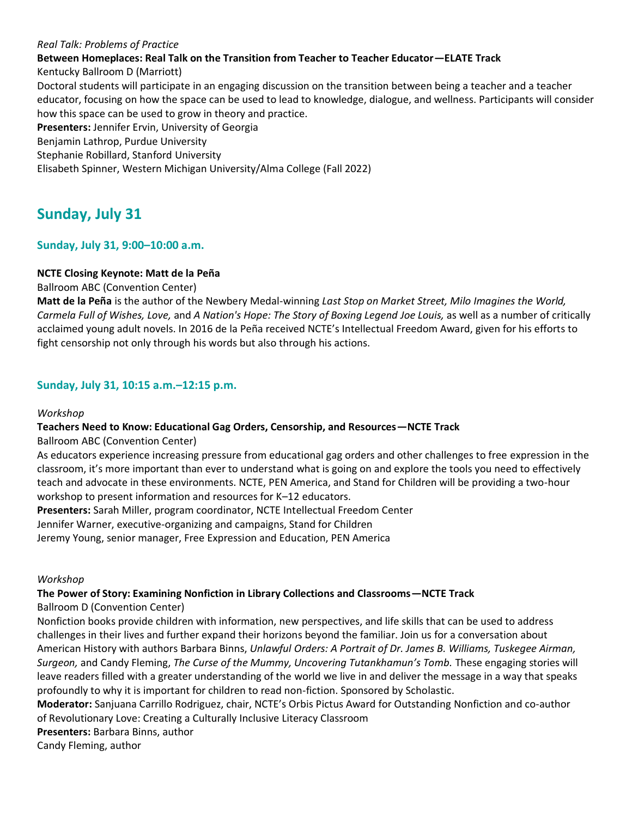### *Real Talk: Problems of Practice*

## **Between Homeplaces: Real Talk on the Transition from Teacher to Teacher Educator—ELATE Track**

Kentucky Ballroom D (Marriott)

Doctoral students will participate in an engaging discussion on the transition between being a teacher and a teacher educator, focusing on how the space can be used to lead to knowledge, dialogue, and wellness. Participants will consider how this space can be used to grow in theory and practice.

**Presenters:** Jennifer Ervin, University of Georgia

Benjamin Lathrop, Purdue University

Stephanie Robillard, Stanford University

Elisabeth Spinner, Western Michigan University/Alma College (Fall 2022)

# **Sunday, July 31**

## **Sunday, July 31, 9:00–10:00 a.m.**

## **NCTE Closing Keynote: Matt de la Peña**

Ballroom ABC (Convention Center)

**Matt de la Peña** is the author of the Newbery Medal-winning *Last Stop on Market Street, Milo Imagines the World, Carmela Full of Wishes, Love,* and *A Nation's Hope: The Story of Boxing Legend Joe Louis,* as well as a number of critically acclaimed young adult novels. In 2016 de la Peña received NCTE's Intellectual Freedom Award, given for his efforts to fight censorship not only through his words but also through his actions.

## **Sunday, July 31, 10:15 a.m.–12:15 p.m.**

### *Workshop*

## **Teachers Need to Know: Educational Gag Orders, Censorship, and Resources—NCTE Track**

Ballroom ABC (Convention Center)

As educators experience increasing pressure from educational gag orders and other challenges to free expression in the classroom, it's more important than ever to understand what is going on and explore the tools you need to effectively teach and advocate in these environments. NCTE, PEN America, and Stand for Children will be providing a two-hour workshop to present information and resources for K–12 educators.

**Presenters:** Sarah Miller, program coordinator, NCTE Intellectual Freedom Center

Jennifer Warner, executive-organizing and campaigns, Stand for Children

Jeremy Young, senior manager, Free Expression and Education, PEN America

### *Workshop*

## **The Power of Story: Examining Nonfiction in Library Collections and Classrooms—NCTE Track**

Ballroom D (Convention Center)

Nonfiction books provide children with information, new perspectives, and life skills that can be used to address challenges in their lives and further expand their horizons beyond the familiar. Join us for a conversation about American History with authors Barbara Binns, *Unlawful Orders: A Portrait of Dr. James B. Williams, Tuskegee Airman, Surgeon,* and Candy Fleming, *The Curse of the Mummy, Uncovering Tutankhamun's Tomb.* These engaging stories will leave readers filled with a greater understanding of the world we live in and deliver the message in a way that speaks profoundly to why it is important for children to read non-fiction. Sponsored by Scholastic.

**Moderator:** Sanjuana Carrillo Rodriguez, chair, NCTE's Orbis Pictus Award for Outstanding Nonfiction and co-author of Revolutionary Love: Creating a Culturally Inclusive Literacy Classroom

**Presenters:** Barbara Binns, author

Candy Fleming, author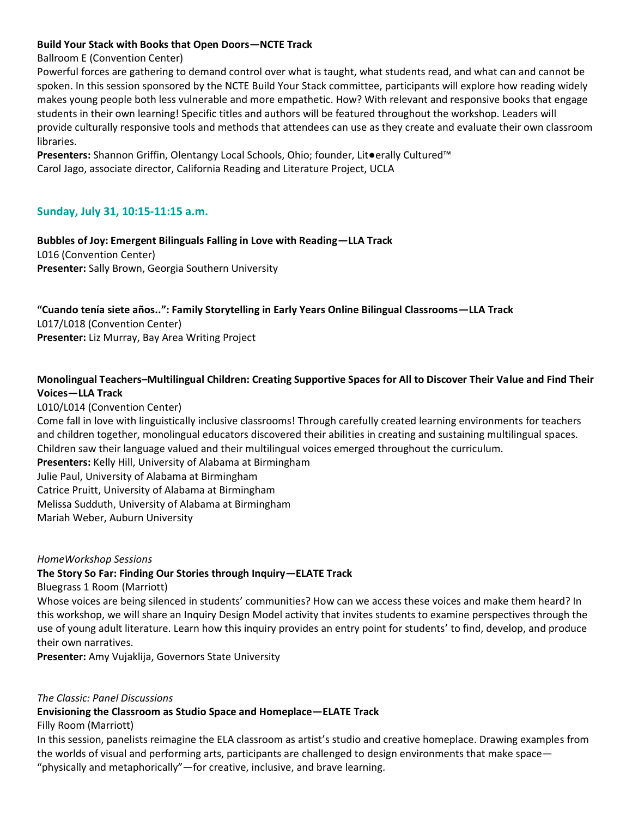### **Build Your Stack with Books that Open Doors—NCTE Track**

### Ballroom E (Convention Center)

Powerful forces are gathering to demand control over what is taught, what students read, and what can and cannot be spoken. In this session sponsored by the NCTE Build Your Stack committee, participants will explore how reading widely makes young people both less vulnerable and more empathetic. How? With relevant and responsive books that engage students in their own learning! Specific titles and authors will be featured throughout the workshop. Leaders will provide culturally responsive tools and methods that attendees can use as they create and evaluate their own classroom libraries.

**Presenters:** Shannon Griffin, Olentangy Local Schools, Ohio; founder, Lit●erally Cultured™ Carol Jago, associate director, California Reading and Literature Project, UCLA

## **Sunday, July 31, 10:15-11:15 a.m.**

**Bubbles of Joy: Emergent Bilinguals Falling in Love with Reading—LLA Track**  L016 (Convention Center) **Presenter:** Sally Brown, Georgia Southern University

# **"Cuando tenía siete años..": Family Storytelling in Early Years Online Bilingual Classrooms—LLA Track**  L017/L018 (Convention Center)

**Presenter:** Liz Murray, Bay Area Writing Project

## **Monolingual Teachers–Multilingual Children: Creating Supportive Spaces for All to Discover Their Value and Find Their Voices—LLA Track**

L010/L014 (Convention Center)

Come fall in love with linguistically inclusive classrooms! Through carefully created learning environments for teachers and children together, monolingual educators discovered their abilities in creating and sustaining multilingual spaces. Children saw their language valued and their multilingual voices emerged throughout the curriculum.

**Presenters:** Kelly Hill, University of Alabama at Birmingham

Julie Paul, University of Alabama at Birmingham

Catrice Pruitt, University of Alabama at Birmingham

Melissa Sudduth, University of Alabama at Birmingham

Mariah Weber, Auburn University

*HomeWorkshop Sessions*

## **The Story So Far: Finding Our Stories through Inquiry—ELATE Track**

Bluegrass 1 Room (Marriott)

Whose voices are being silenced in students' communities? How can we access these voices and make them heard? In this workshop, we will share an Inquiry Design Model activity that invites students to examine perspectives through the use of young adult literature. Learn how this inquiry provides an entry point for students' to find, develop, and produce their own narratives.

**Presenter:** Amy Vujaklija, Governors State University

### *The Classic: Panel Discussions*

**Envisioning the Classroom as Studio Space and Homeplace—ELATE Track**

Filly Room (Marriott)

In this session, panelists reimagine the ELA classroom as artist's studio and creative homeplace. Drawing examples from the worlds of visual and performing arts, participants are challenged to design environments that make space— "physically and metaphorically"—for creative, inclusive, and brave learning.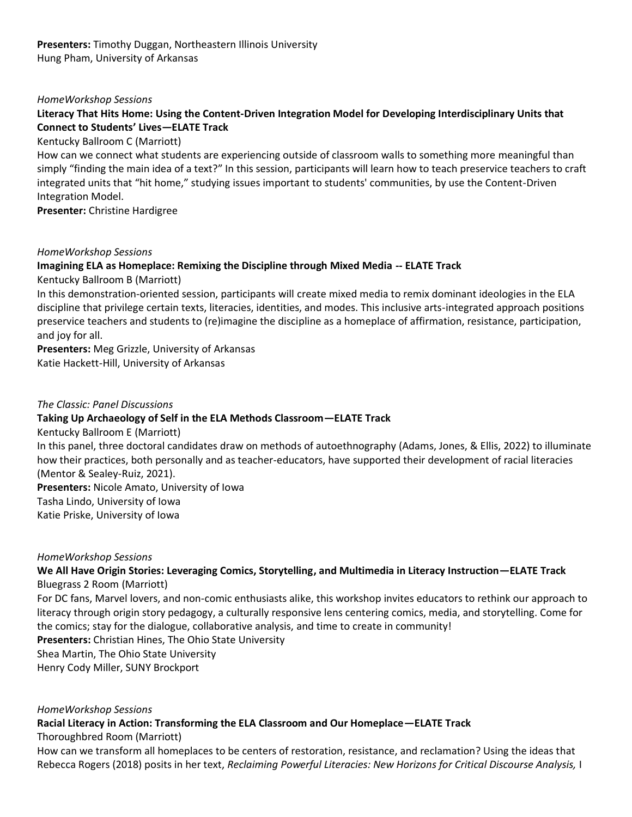## **Presenters:** Timothy Duggan, Northeastern Illinois University Hung Pham, University of Arkansas

### *HomeWorkshop Sessions*

## **Literacy That Hits Home: Using the Content-Driven Integration Model for Developing Interdisciplinary Units that Connect to Students' Lives—ELATE Track**

Kentucky Ballroom C (Marriott)

How can we connect what students are experiencing outside of classroom walls to something more meaningful than simply "finding the main idea of a text?" In this session, participants will learn how to teach preservice teachers to craft integrated units that "hit home," studying issues important to students' communities, by use the Content-Driven Integration Model.

**Presenter:** Christine Hardigree

### *HomeWorkshop Sessions*

### **Imagining ELA as Homeplace: Remixing the Discipline through Mixed Media -- ELATE Track**

Kentucky Ballroom B (Marriott)

In this demonstration-oriented session, participants will create mixed media to remix dominant ideologies in the ELA discipline that privilege certain texts, literacies, identities, and modes. This inclusive arts-integrated approach positions preservice teachers and students to (re)imagine the discipline as a homeplace of affirmation, resistance, participation, and joy for all.

**Presenters:** Meg Grizzle, University of Arkansas Katie Hackett-Hill, University of Arkansas

### *The Classic: Panel Discussions*

### **Taking Up Archaeology of Self in the ELA Methods Classroom—ELATE Track**

Kentucky Ballroom E (Marriott)

In this panel, three doctoral candidates draw on methods of autoethnography (Adams, Jones, & Ellis, 2022) to illuminate how their practices, both personally and as teacher-educators, have supported their development of racial literacies (Mentor & Sealey-Ruiz, 2021).

**Presenters:** Nicole Amato, University of Iowa Tasha Lindo, University of Iowa Katie Priske, University of Iowa

#### *HomeWorkshop Sessions*

## **We All Have Origin Stories: Leveraging Comics, Storytelling, and Multimedia in Literacy Instruction—ELATE Track** Bluegrass 2 Room (Marriott)

For DC fans, Marvel lovers, and non-comic enthusiasts alike, this workshop invites educators to rethink our approach to literacy through origin story pedagogy, a culturally responsive lens centering comics, media, and storytelling. Come for the comics; stay for the dialogue, collaborative analysis, and time to create in community!

**Presenters:** Christian Hines, The Ohio State University Shea Martin, The Ohio State University Henry Cody Miller, SUNY Brockport

#### *HomeWorkshop Sessions*

## **Racial Literacy in Action: Transforming the ELA Classroom and Our Homeplace—ELATE Track**

Thoroughbred Room (Marriott)

How can we transform all homeplaces to be centers of restoration, resistance, and reclamation? Using the ideas that Rebecca Rogers (2018) posits in her text, *Reclaiming Powerful Literacies: New Horizons for Critical Discourse Analysis,* I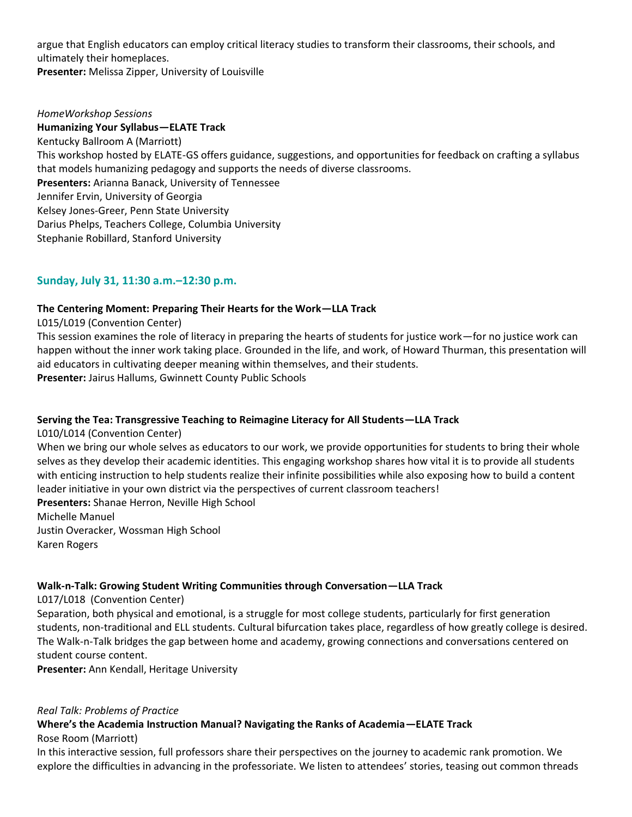argue that English educators can employ critical literacy studies to transform their classrooms, their schools, and ultimately their homeplaces.

**Presenter:** Melissa Zipper, University of Louisville

## *HomeWorkshop Sessions*  **Humanizing Your Syllabus—ELATE Track** Kentucky Ballroom A (Marriott) This workshop hosted by ELATE-GS offers guidance, suggestions, and opportunities for feedback on crafting a syllabus that models humanizing pedagogy and supports the needs of diverse classrooms. **Presenters:** Arianna Banack, University of Tennessee Jennifer Ervin, University of Georgia Kelsey Jones-Greer, Penn State University Darius Phelps, Teachers College, Columbia University Stephanie Robillard, Stanford University

## **Sunday, July 31, 11:30 a.m.–12:30 p.m.**

### **The Centering Moment: Preparing Their Hearts for the Work—LLA Track**

L015/L019 (Convention Center)

This session examines the role of literacy in preparing the hearts of students for justice work—for no justice work can happen without the inner work taking place. Grounded in the life, and work, of Howard Thurman, this presentation will aid educators in cultivating deeper meaning within themselves, and their students. **Presenter:** Jairus Hallums, Gwinnett County Public Schools

### **Serving the Tea: Transgressive Teaching to Reimagine Literacy for All Students—LLA Track**

L010/L014 (Convention Center) When we bring our whole selves as educators to our work, we provide opportunities for students to bring their whole selves as they develop their academic identities. This engaging workshop shares how vital it is to provide all students with enticing instruction to help students realize their infinite possibilities while also exposing how to build a content leader initiative in your own district via the perspectives of current classroom teachers! **Presenters:** Shanae Herron, Neville High School

Michelle Manuel Justin Overacker, Wossman High School Karen Rogers

### **Walk-n-Talk: Growing Student Writing Communities through Conversation—LLA Track**

L017/L018 (Convention Center)

Separation, both physical and emotional, is a struggle for most college students, particularly for first generation students, non-traditional and ELL students. Cultural bifurcation takes place, regardless of how greatly college is desired. The Walk-n-Talk bridges the gap between home and academy, growing connections and conversations centered on student course content.

**Presenter:** Ann Kendall, Heritage University

#### *Real Talk: Problems of Practice*

## **Where's the Academia Instruction Manual? Navigating the Ranks of Academia—ELATE Track**

Rose Room (Marriott)

In this interactive session, full professors share their perspectives on the journey to academic rank promotion. We explore the difficulties in advancing in the professoriate. We listen to attendees' stories, teasing out common threads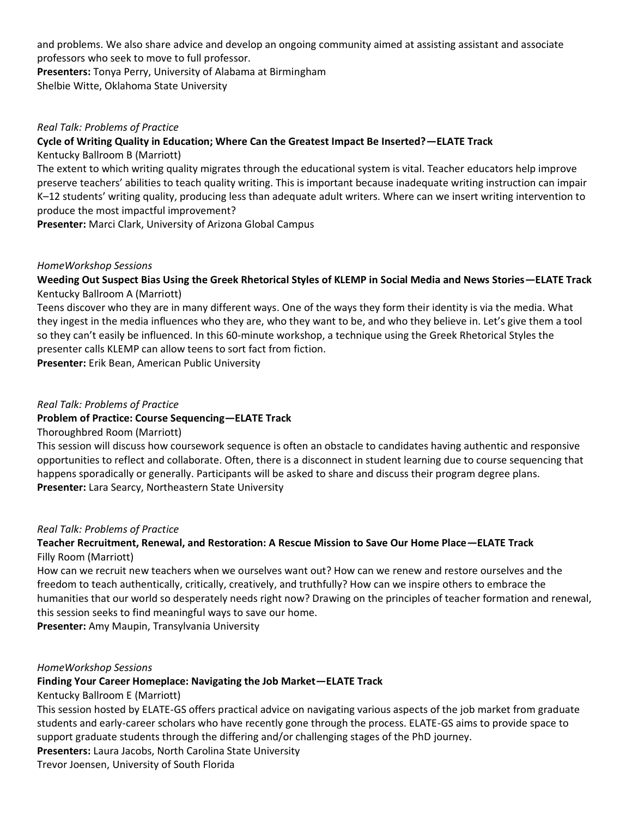and problems. We also share advice and develop an ongoing community aimed at assisting assistant and associate professors who seek to move to full professor.

**Presenters:** Tonya Perry, University of Alabama at Birmingham Shelbie Witte, Oklahoma State University

### *Real Talk: Problems of Practice*

### **Cycle of Writing Quality in Education; Where Can the Greatest Impact Be Inserted?—ELATE Track**

Kentucky Ballroom B (Marriott)

The extent to which writing quality migrates through the educational system is vital. Teacher educators help improve preserve teachers' abilities to teach quality writing. This is important because inadequate writing instruction can impair K–12 students' writing quality, producing less than adequate adult writers. Where can we insert writing intervention to produce the most impactful improvement?

**Presenter:** Marci Clark, University of Arizona Global Campus

### *HomeWorkshop Sessions*

## **Weeding Out Suspect Bias Using the Greek Rhetorical Styles of KLEMP in Social Media and News Stories—ELATE Track** Kentucky Ballroom A (Marriott)

Teens discover who they are in many different ways. One of the ways they form their identity is via the media. What they ingest in the media influences who they are, who they want to be, and who they believe in. Let's give them a tool so they can't easily be influenced. In this 60-minute workshop, a technique using the Greek Rhetorical Styles the presenter calls KLEMP can allow teens to sort fact from fiction.

**Presenter:** Erik Bean, American Public University

### *Real Talk: Problems of Practice*

### **Problem of Practice: Course Sequencing—ELATE Track**

### Thoroughbred Room (Marriott)

This session will discuss how coursework sequence is often an obstacle to candidates having authentic and responsive opportunities to reflect and collaborate. Often, there is a disconnect in student learning due to course sequencing that happens sporadically or generally. Participants will be asked to share and discuss their program degree plans. **Presenter:** Lara Searcy, Northeastern State University

#### *Real Talk: Problems of Practice*

## **Teacher Recruitment, Renewal, and Restoration: A Rescue Mission to Save Our Home Place—ELATE Track** Filly Room (Marriott)

How can we recruit new teachers when we ourselves want out? How can we renew and restore ourselves and the freedom to teach authentically, critically, creatively, and truthfully? How can we inspire others to embrace the humanities that our world so desperately needs right now? Drawing on the principles of teacher formation and renewal, this session seeks to find meaningful ways to save our home.

**Presenter:** Amy Maupin, Transylvania University

#### *HomeWorkshop Sessions*

### **Finding Your Career Homeplace: Navigating the Job Market—ELATE Track**

Kentucky Ballroom E (Marriott)

This session hosted by ELATE-GS offers practical advice on navigating various aspects of the job market from graduate students and early-career scholars who have recently gone through the process. ELATE-GS aims to provide space to support graduate students through the differing and/or challenging stages of the PhD journey.

#### **Presenters:** Laura Jacobs, North Carolina State University

Trevor Joensen, University of South Florida